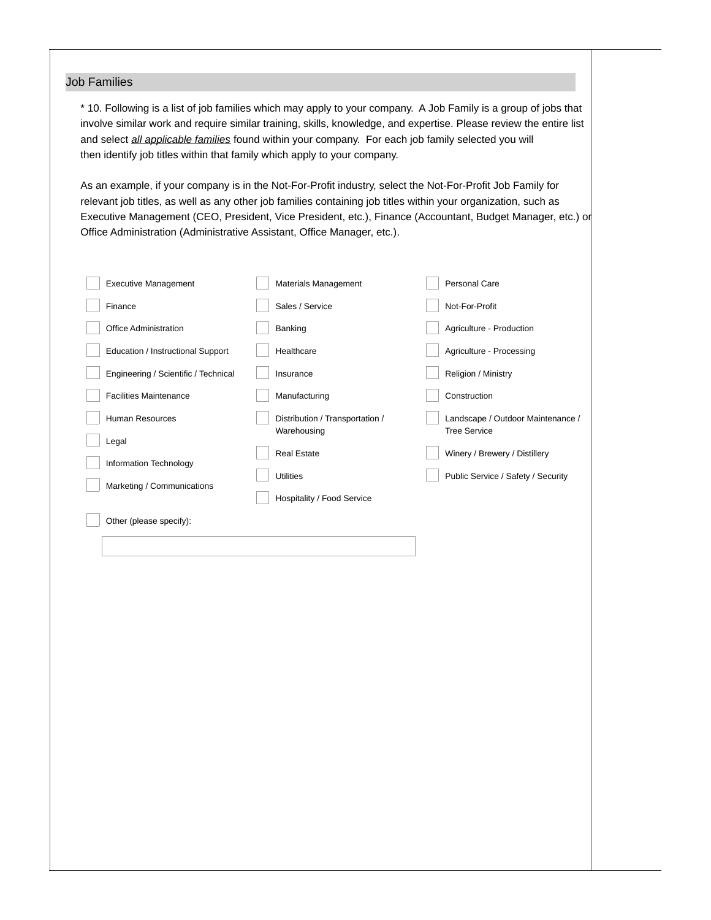## Job Families

\* 10. Following is a list of job families which may apply to your company. A Job Family is a group of jobs that involve similar work and require similar training, skills, knowledge, and expertise. Please review the entire list and select *all applicable families* found within your company. For each job family selected you will then identify job titles within that family which apply to your company.

As an example, if your company is in the Not-For-Profit industry, select the Not-For-Profit Job Family for relevant job titles, as well as any other job families containing job titles within your organization, such as Executive Management (CEO, President, Vice President, etc.), Finance (Accountant, Budget Manager, etc.) or Office Administration (Administrative Assistant, Office Manager, etc.).

| <b>Executive Management</b>          | Materials Management                                  | Personal Care                                            |
|--------------------------------------|-------------------------------------------------------|----------------------------------------------------------|
| Finance                              | Sales / Service                                       | Not-For-Profit                                           |
| Office Administration                | <b>Banking</b>                                        | Agriculture - Production                                 |
| Education / Instructional Support    | Healthcare                                            | Agriculture - Processing                                 |
| Engineering / Scientific / Technical | Insurance                                             | Religion / Ministry                                      |
| <b>Facilities Maintenance</b>        | Manufacturing                                         | Construction                                             |
| <b>Human Resources</b><br>Legal      | Distribution / Transportation /<br>Warehousing        | Landscape / Outdoor Maintenance /<br><b>Tree Service</b> |
| Information Technology               | <b>Real Estate</b>                                    | Winery / Brewery / Distillery                            |
| Marketing / Communications           | <b>Utilities</b><br><b>Hospitality / Food Service</b> | Public Service / Safety / Security                       |
| Other (please specify):              |                                                       |                                                          |
|                                      |                                                       |                                                          |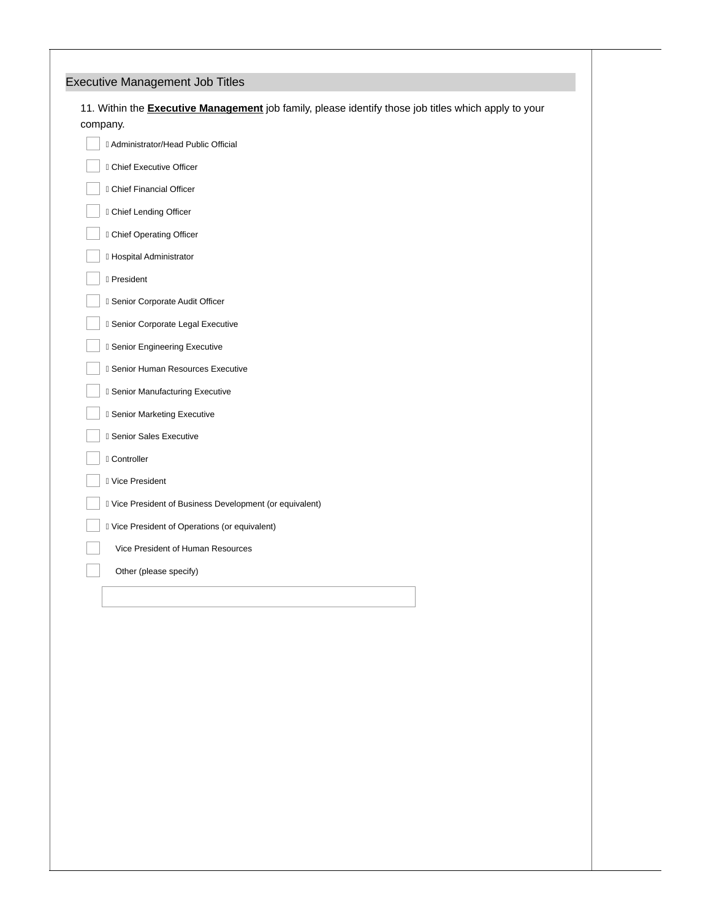| <b>Executive Management Job Titles</b>                                                                                  |
|-------------------------------------------------------------------------------------------------------------------------|
| 11. Within the <b>Executive Management</b> job family, please identify those job titles which apply to your<br>company. |
| <b>I</b> Administrator/Head Public Official                                                                             |
| <b>I</b> Chief Executive Officer                                                                                        |
| <b>Chief Financial Officer</b>                                                                                          |
| I Chief Lending Officer                                                                                                 |
| D Chief Operating Officer                                                                                               |
| I Hospital Administrator                                                                                                |
| <b>I</b> President                                                                                                      |
| <b>I</b> Senior Corporate Audit Officer                                                                                 |
| <b>I</b> Senior Corporate Legal Executive                                                                               |
| <b>I</b> Senior Engineering Executive                                                                                   |
| <b>I</b> Senior Human Resources Executive                                                                               |
| <b>I</b> Senior Manufacturing Executive                                                                                 |
| <b>I</b> Senior Marketing Executive                                                                                     |
| <b>I</b> Senior Sales Executive                                                                                         |
| I Controller                                                                                                            |
| I Vice President                                                                                                        |
| I Vice President of Business Development (or equivalent)                                                                |
| I Vice President of Operations (or equivalent)                                                                          |
| Vice President of Human Resources                                                                                       |
| Other (please specify)                                                                                                  |
|                                                                                                                         |
|                                                                                                                         |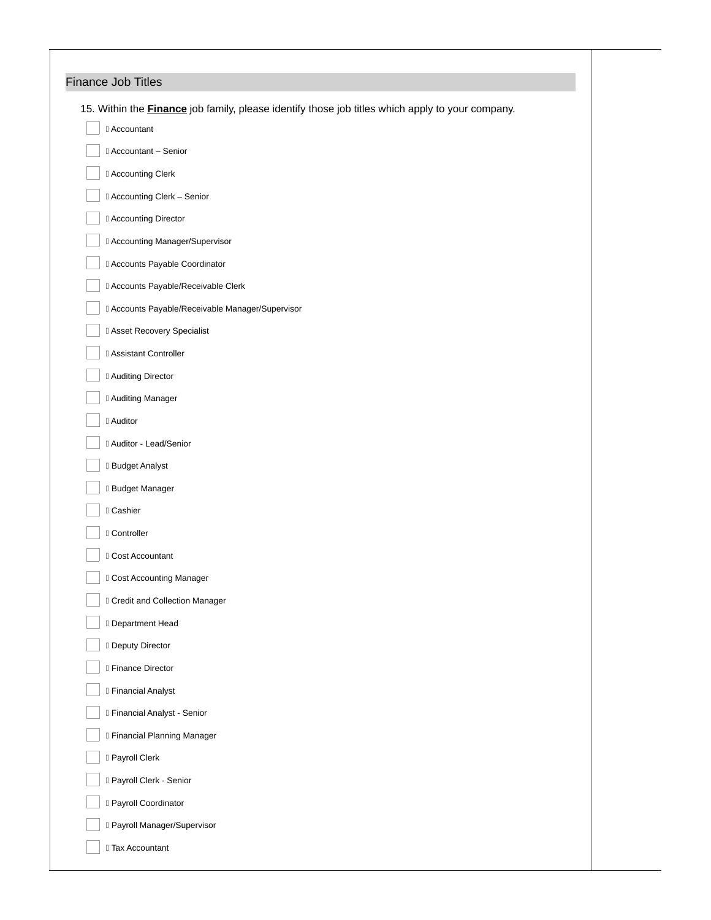| <b>Finance Job Titles</b>                                                                               |
|---------------------------------------------------------------------------------------------------------|
| 15. Within the <b>Finance</b> job family, please identify those job titles which apply to your company. |
| I Accountant                                                                                            |
| I Accountant - Senior                                                                                   |
| I Accounting Clerk                                                                                      |
| I Accounting Clerk - Senior                                                                             |
| I Accounting Director                                                                                   |
| I Accounting Manager/Supervisor                                                                         |
| I Accounts Payable Coordinator                                                                          |
| I Accounts Payable/Receivable Clerk                                                                     |
| I Accounts Payable/Receivable Manager/Supervisor                                                        |
| <b>I</b> Asset Recovery Specialist                                                                      |
| I Assistant Controller                                                                                  |
| I Auditing Director                                                                                     |
| <b>I</b> Auditing Manager                                                                               |
| I Auditor                                                                                               |
| I Auditor - Lead/Senior                                                                                 |
| <b>Budget Analyst</b>                                                                                   |
| <b>Budget Manager</b>                                                                                   |
| I Cashier                                                                                               |
| I Controller                                                                                            |
| I Cost Accountant                                                                                       |
| <b>I</b> Cost Accounting Manager                                                                        |
| <b>I</b> Credit and Collection Manager                                                                  |
| Department Head                                                                                         |
| Deputy Director                                                                                         |
| I Finance Director                                                                                      |
| <b>I</b> Financial Analyst                                                                              |
| <b>I</b> Financial Analyst - Senior                                                                     |
| <b>I</b> Financial Planning Manager                                                                     |
| I Payroll Clerk                                                                                         |
| I Payroll Clerk - Senior                                                                                |
| <b>I</b> Payroll Coordinator                                                                            |
| <b>D</b> Payroll Manager/Supervisor                                                                     |
| <b>Tax Accountant</b>                                                                                   |

 $\mathbb{R}$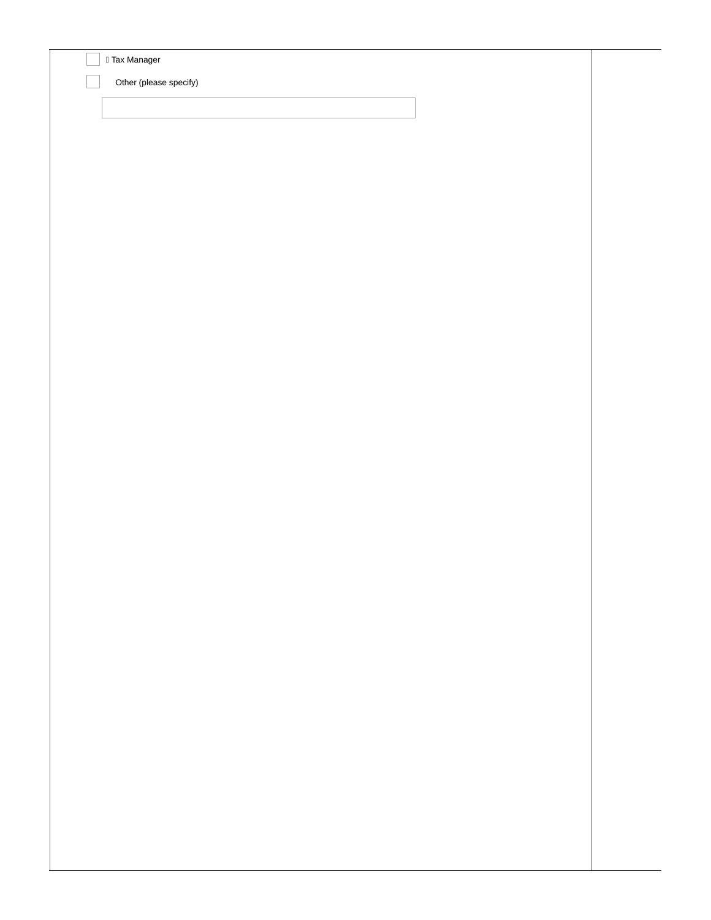| <b>I</b> Tax Manager<br>Other (please specify) |  |  |
|------------------------------------------------|--|--|
|                                                |  |  |
|                                                |  |  |
|                                                |  |  |
|                                                |  |  |
|                                                |  |  |
|                                                |  |  |
|                                                |  |  |
|                                                |  |  |
|                                                |  |  |
|                                                |  |  |
|                                                |  |  |
|                                                |  |  |
|                                                |  |  |
|                                                |  |  |
|                                                |  |  |
|                                                |  |  |
|                                                |  |  |
|                                                |  |  |
|                                                |  |  |
|                                                |  |  |
|                                                |  |  |
|                                                |  |  |
|                                                |  |  |
|                                                |  |  |
|                                                |  |  |
|                                                |  |  |
|                                                |  |  |
|                                                |  |  |
|                                                |  |  |
|                                                |  |  |
|                                                |  |  |
|                                                |  |  |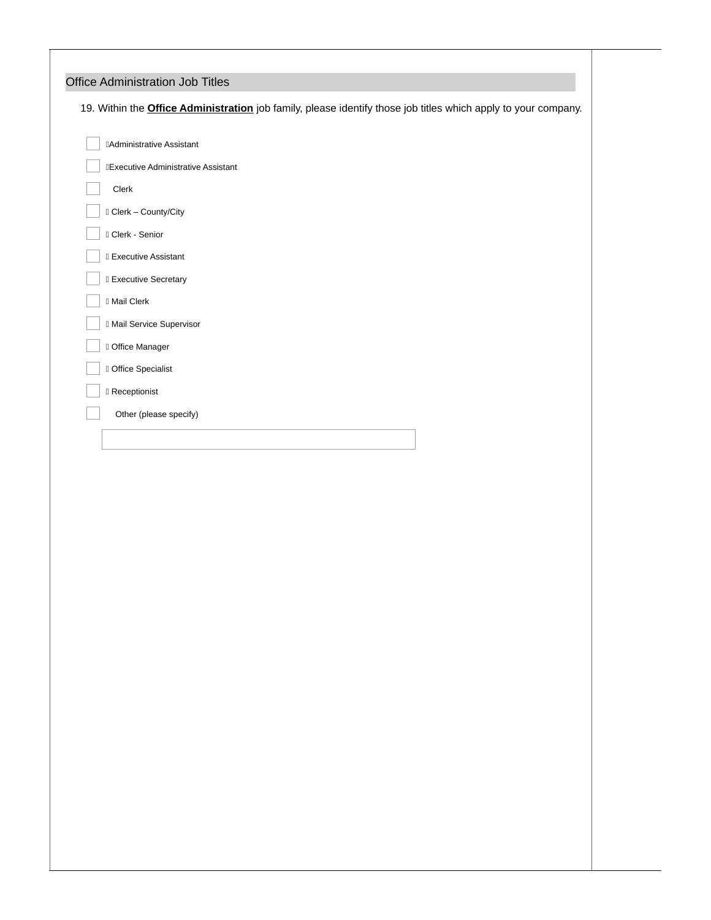| <b>Office Administration Job Titles</b>                                                                               |
|-----------------------------------------------------------------------------------------------------------------------|
| 19. Within the <b>Office Administration</b> job family, please identify those job titles which apply to your company. |
|                                                                                                                       |
| <b>IAdministrative Assistant</b>                                                                                      |
| <b>IExecutive Administrative Assistant</b>                                                                            |
| Clerk                                                                                                                 |
| I Clerk - County/City                                                                                                 |
| I Clerk - Senior                                                                                                      |
| <b>I</b> Executive Assistant                                                                                          |
| <b>I</b> Executive Secretary                                                                                          |
| I Mail Clerk                                                                                                          |
| I Mail Service Supervisor                                                                                             |
| D Office Manager                                                                                                      |
| D Office Specialist                                                                                                   |
| I Receptionist                                                                                                        |
| Other (please specify)                                                                                                |
|                                                                                                                       |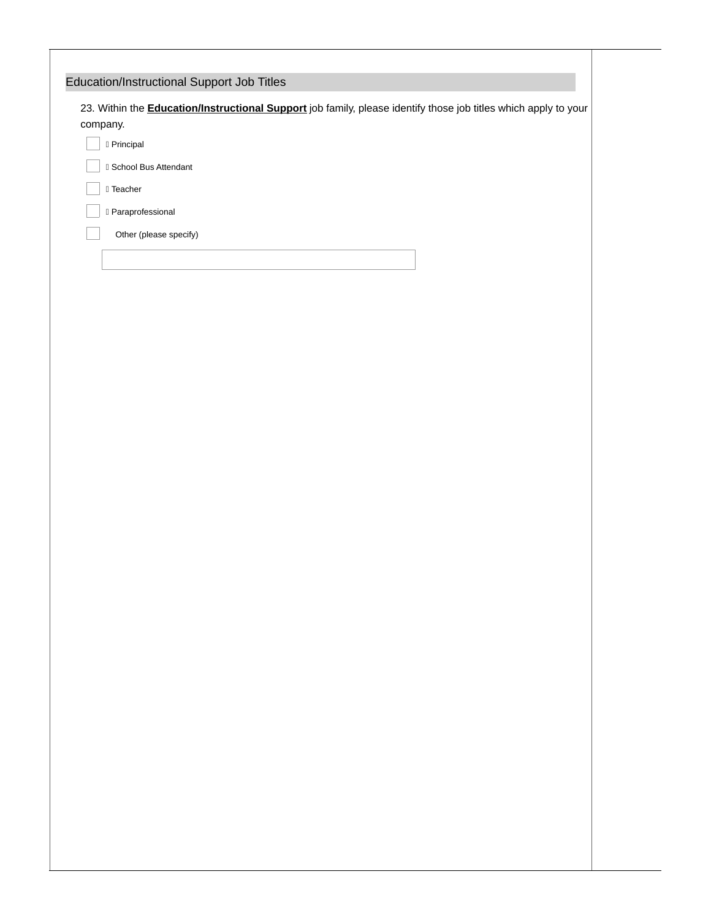| Education/Instructional Support Job Titles                                                                                         |  |
|------------------------------------------------------------------------------------------------------------------------------------|--|
|                                                                                                                                    |  |
| 23. Within the <b>Education/Instructional Support</b> job family, please identify those job titles which apply to your<br>company. |  |
| <b>D</b> Principal                                                                                                                 |  |
| <b>I</b> School Bus Attendant                                                                                                      |  |
| I Teacher                                                                                                                          |  |
| D Paraprofessional                                                                                                                 |  |
| Other (please specify)                                                                                                             |  |
|                                                                                                                                    |  |
|                                                                                                                                    |  |
|                                                                                                                                    |  |
|                                                                                                                                    |  |
|                                                                                                                                    |  |
|                                                                                                                                    |  |
|                                                                                                                                    |  |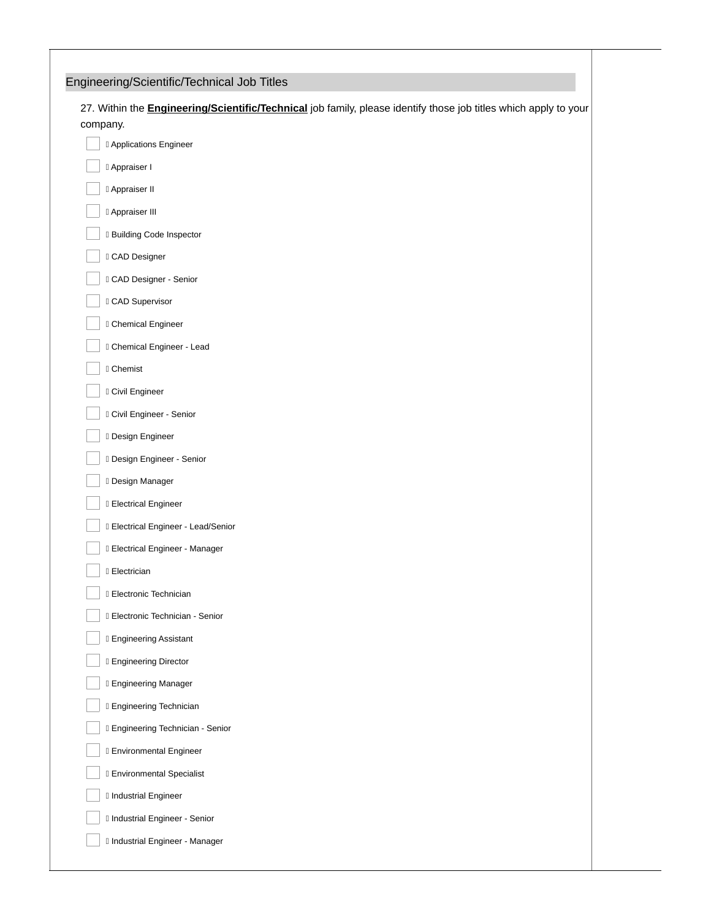| Engineering/Scientific/Technical Job Titles                                                                             |  |
|-------------------------------------------------------------------------------------------------------------------------|--|
| 27. Within the <i>Engineering/Scientific/Technical</i> job family, please identify those job titles which apply to your |  |
| company.                                                                                                                |  |
| <b>I</b> Applications Engineer                                                                                          |  |
| I Appraiser I                                                                                                           |  |
| I Appraiser II                                                                                                          |  |
| I Appraiser III                                                                                                         |  |
| <b>I</b> Building Code Inspector                                                                                        |  |
| I CAD Designer                                                                                                          |  |
| I CAD Designer - Senior                                                                                                 |  |
| I CAD Supervisor                                                                                                        |  |
| I Chemical Engineer                                                                                                     |  |
| <b>I</b> Chemical Engineer - Lead                                                                                       |  |
| I Chemist                                                                                                               |  |
| <b>I</b> Civil Engineer                                                                                                 |  |
| I Civil Engineer - Senior                                                                                               |  |
| Design Engineer                                                                                                         |  |
| Design Engineer - Senior                                                                                                |  |
| Design Manager                                                                                                          |  |
| I Electrical Engineer                                                                                                   |  |
| I Electrical Engineer - Lead/Senior                                                                                     |  |
| I Electrical Engineer - Manager                                                                                         |  |
| I Electrician                                                                                                           |  |
| Il Electronic Technician                                                                                                |  |
| Il Electronic Technician - Senior                                                                                       |  |
| I Engineering Assistant                                                                                                 |  |
| I Engineering Director                                                                                                  |  |
| <b>I</b> Engineering Manager                                                                                            |  |
| I Engineering Technician                                                                                                |  |
| I Engineering Technician - Senior                                                                                       |  |
| <b>I</b> Environmental Engineer                                                                                         |  |
| <b>I</b> Environmental Specialist                                                                                       |  |
| I Industrial Engineer                                                                                                   |  |
| I Industrial Engineer - Senior                                                                                          |  |
| I Industrial Engineer - Manager                                                                                         |  |
|                                                                                                                         |  |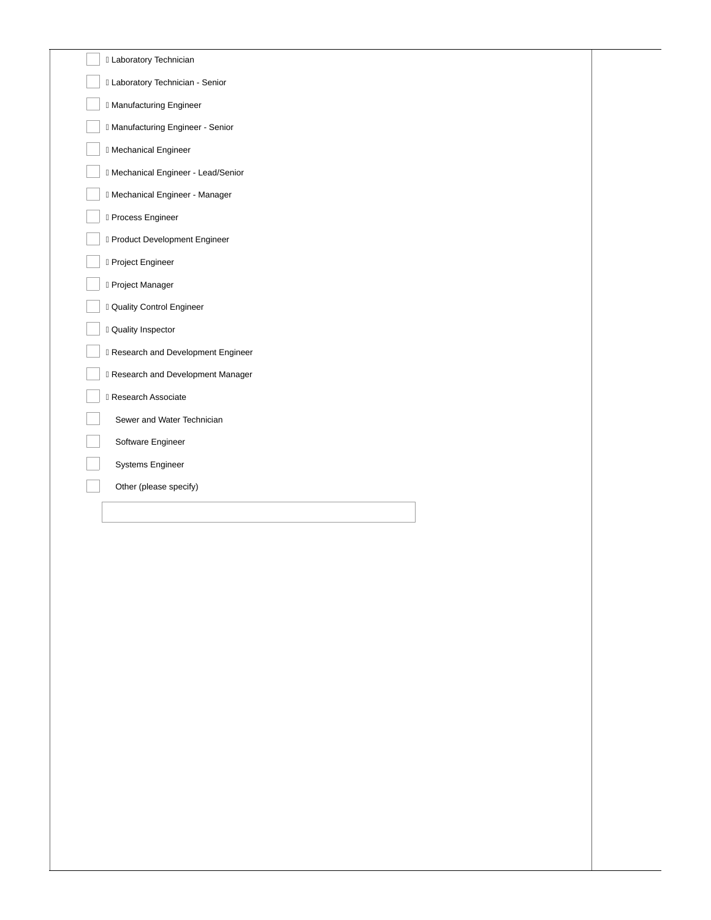| I Laboratory Technician                    |
|--------------------------------------------|
| I Laboratory Technician - Senior           |
| <b>I</b> Manufacturing Engineer            |
| I Manufacturing Engineer - Senior          |
| I Mechanical Engineer                      |
| <b>I</b> Mechanical Engineer - Lead/Senior |
| I Mechanical Engineer - Manager            |
| D Process Engineer                         |
| <b>I</b> Product Development Engineer      |
| <b>I</b> Project Engineer                  |
| <b>I</b> Project Manager                   |
| <b>I</b> Quality Control Engineer          |
| <b>Quality Inspector</b>                   |
| <b>I</b> Research and Development Engineer |
| <b>I</b> Research and Development Manager  |
| <b>I</b> Research Associate                |
| Sewer and Water Technician                 |
| Software Engineer                          |
| Systems Engineer                           |
| Other (please specify)                     |
|                                            |
|                                            |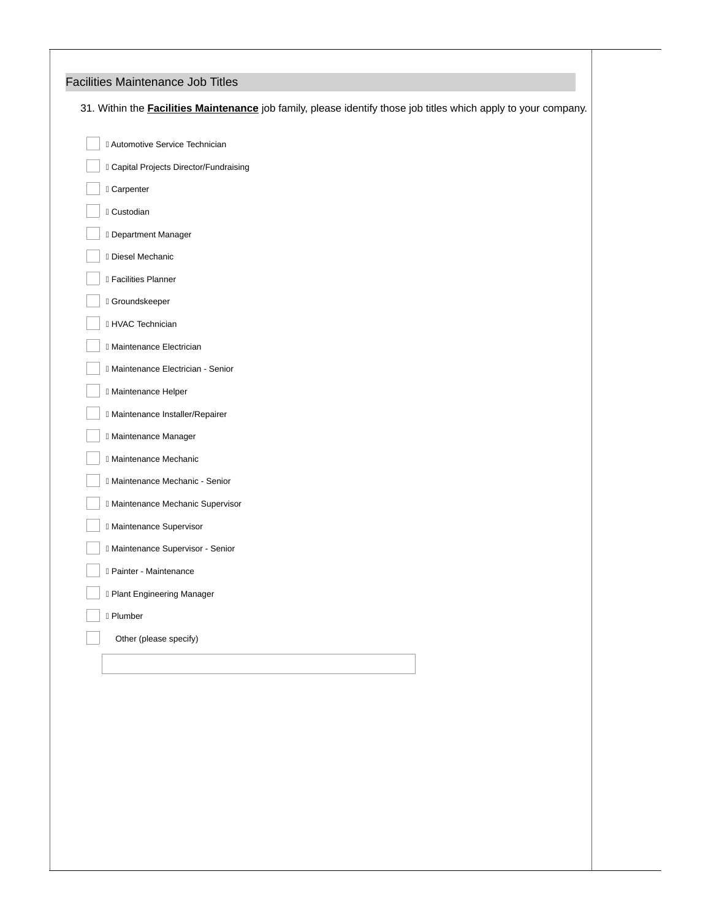| Facilities Maintenance Job Titles                                                                                      |
|------------------------------------------------------------------------------------------------------------------------|
| 31. Within the <b>Facilities Maintenance</b> job family, please identify those job titles which apply to your company. |
| <b>LAutomotive Service Technician</b>                                                                                  |
| <b>I</b> Capital Projects Director/Fundraising                                                                         |
| I Carpenter                                                                                                            |
| I Custodian                                                                                                            |
| Department Manager                                                                                                     |
| Diesel Mechanic                                                                                                        |
| I Facilities Planner                                                                                                   |
| I Groundskeeper                                                                                                        |
| I HVAC Technician                                                                                                      |
| I Maintenance Electrician                                                                                              |
| I Maintenance Electrician - Senior                                                                                     |
| I Maintenance Helper                                                                                                   |
| <b>I</b> Maintenance Installer/Repairer                                                                                |
| I Maintenance Manager                                                                                                  |
| I Maintenance Mechanic                                                                                                 |
| I Maintenance Mechanic - Senior                                                                                        |
| I Maintenance Mechanic Supervisor                                                                                      |
| I Maintenance Supervisor                                                                                               |
| I Maintenance Supervisor - Senior                                                                                      |
| D Painter - Maintenance                                                                                                |
| Ⅱ Plant Engineering Manager                                                                                            |
| <b>D</b> Plumber                                                                                                       |
| Other (please specify)                                                                                                 |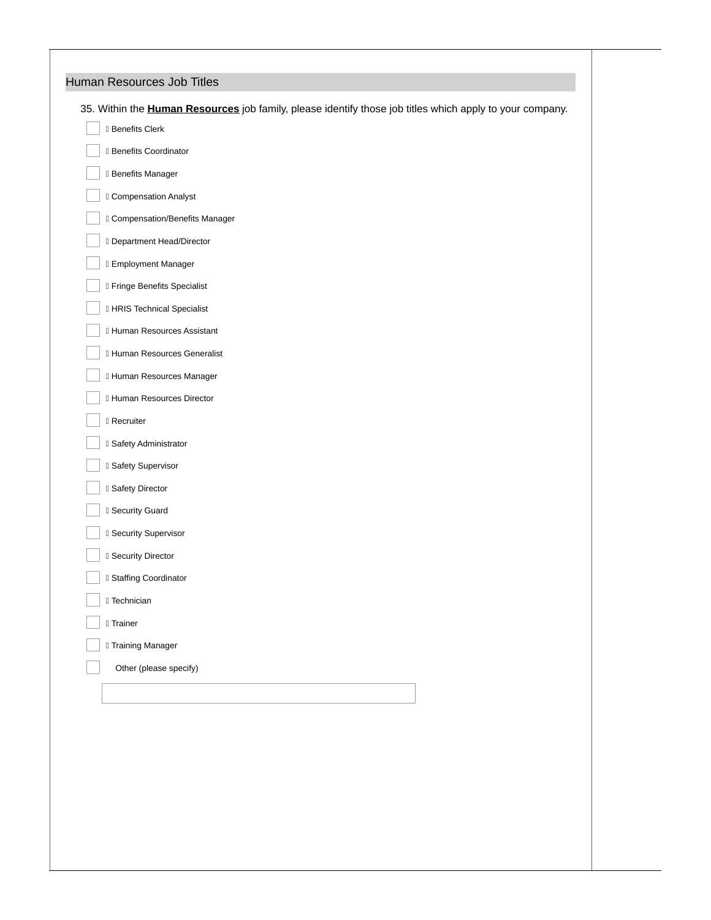| Human Resources Job Titles<br>35. Within the Human Resources job family, please identify those job titles which apply to your company.<br><b>I</b> Benefits Clerk<br><b>I</b> Benefits Coordinator<br><b>I</b> Benefits Manager<br>I Compensation Analyst<br>I Compensation/Benefits Manager<br><b>I</b> Department Head/Director<br>I Employment Manager<br><b>I</b> Fringe Benefits Specialist<br><b>I</b> HRIS Technical Specialist<br>I Human Resources Assistant<br>I Human Resources Generalist |  |
|-------------------------------------------------------------------------------------------------------------------------------------------------------------------------------------------------------------------------------------------------------------------------------------------------------------------------------------------------------------------------------------------------------------------------------------------------------------------------------------------------------|--|
|                                                                                                                                                                                                                                                                                                                                                                                                                                                                                                       |  |
|                                                                                                                                                                                                                                                                                                                                                                                                                                                                                                       |  |
|                                                                                                                                                                                                                                                                                                                                                                                                                                                                                                       |  |
|                                                                                                                                                                                                                                                                                                                                                                                                                                                                                                       |  |
|                                                                                                                                                                                                                                                                                                                                                                                                                                                                                                       |  |
|                                                                                                                                                                                                                                                                                                                                                                                                                                                                                                       |  |
|                                                                                                                                                                                                                                                                                                                                                                                                                                                                                                       |  |
|                                                                                                                                                                                                                                                                                                                                                                                                                                                                                                       |  |
|                                                                                                                                                                                                                                                                                                                                                                                                                                                                                                       |  |
|                                                                                                                                                                                                                                                                                                                                                                                                                                                                                                       |  |
|                                                                                                                                                                                                                                                                                                                                                                                                                                                                                                       |  |
|                                                                                                                                                                                                                                                                                                                                                                                                                                                                                                       |  |
|                                                                                                                                                                                                                                                                                                                                                                                                                                                                                                       |  |
| I Human Resources Manager                                                                                                                                                                                                                                                                                                                                                                                                                                                                             |  |
| I Human Resources Director                                                                                                                                                                                                                                                                                                                                                                                                                                                                            |  |
| <b>D</b> Recruiter                                                                                                                                                                                                                                                                                                                                                                                                                                                                                    |  |
| <b>I</b> Safety Administrator                                                                                                                                                                                                                                                                                                                                                                                                                                                                         |  |
| <b>I</b> Safety Supervisor                                                                                                                                                                                                                                                                                                                                                                                                                                                                            |  |
| I Safety Director                                                                                                                                                                                                                                                                                                                                                                                                                                                                                     |  |
| I Security Guard                                                                                                                                                                                                                                                                                                                                                                                                                                                                                      |  |
| <b>I</b> Security Supervisor                                                                                                                                                                                                                                                                                                                                                                                                                                                                          |  |
| <b>I</b> Security Director                                                                                                                                                                                                                                                                                                                                                                                                                                                                            |  |
| I Staffing Coordinator                                                                                                                                                                                                                                                                                                                                                                                                                                                                                |  |
| I Technician                                                                                                                                                                                                                                                                                                                                                                                                                                                                                          |  |
| <b>I</b> Trainer                                                                                                                                                                                                                                                                                                                                                                                                                                                                                      |  |
| <b>I</b> Training Manager                                                                                                                                                                                                                                                                                                                                                                                                                                                                             |  |
| Other (please specify)                                                                                                                                                                                                                                                                                                                                                                                                                                                                                |  |
|                                                                                                                                                                                                                                                                                                                                                                                                                                                                                                       |  |
|                                                                                                                                                                                                                                                                                                                                                                                                                                                                                                       |  |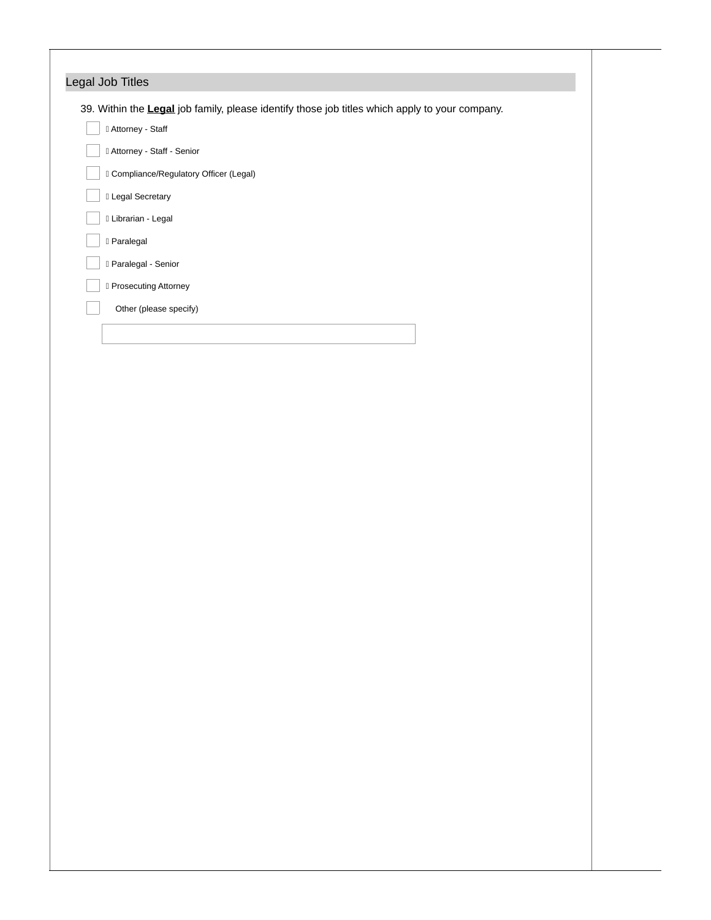| Legal Job Titles                                                                               |
|------------------------------------------------------------------------------------------------|
| 39. Within the Legal job family, please identify those job titles which apply to your company. |
| I Attorney - Staff                                                                             |
| I Attorney - Staff - Senior                                                                    |
| I Compliance/Regulatory Officer (Legal)                                                        |
| I Legal Secretary                                                                              |
| I Librarian - Legal                                                                            |
| <b>D</b> Paralegal                                                                             |
| D Paralegal - Senior                                                                           |
| <b>I</b> Prosecuting Attorney                                                                  |
| Other (please specify)                                                                         |
|                                                                                                |
|                                                                                                |
|                                                                                                |
|                                                                                                |
|                                                                                                |
|                                                                                                |
|                                                                                                |
|                                                                                                |
|                                                                                                |
|                                                                                                |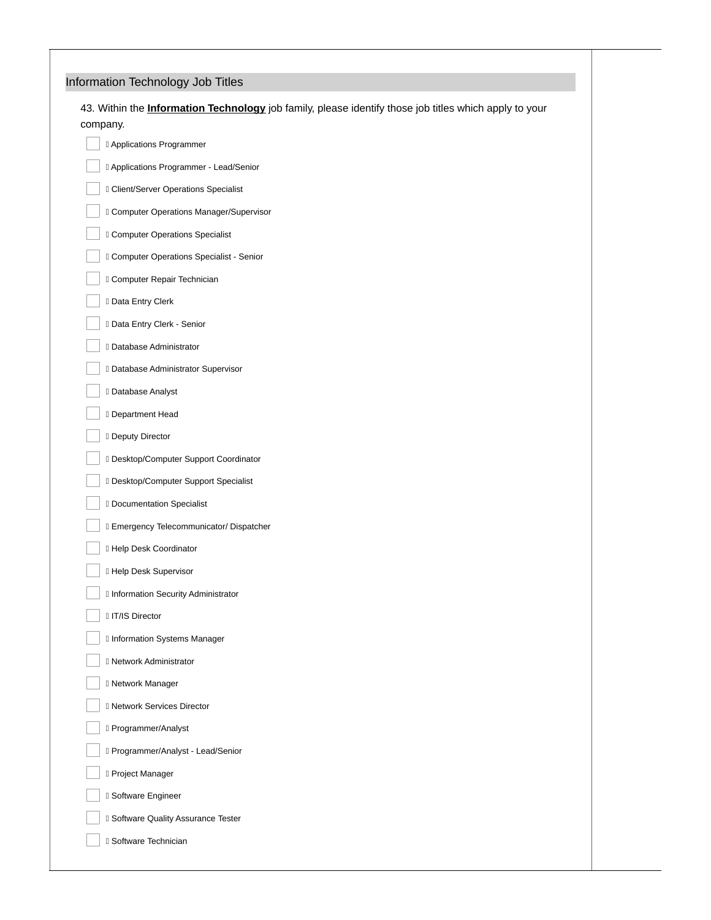## Information Technology Job Titles

| 43. Within the <i>Information Technology</i> job family, please identify those job titles which apply to your |  |
|---------------------------------------------------------------------------------------------------------------|--|
| company.                                                                                                      |  |
| <b>I</b> Applications Programmer                                                                              |  |
| <b>I</b> Applications Programmer - Lead/Senior                                                                |  |
| I Client/Server Operations Specialist                                                                         |  |
| <b>Computer Operations Manager/Supervisor</b>                                                                 |  |
| <b>Computer Operations Specialist</b>                                                                         |  |
| Computer Operations Specialist - Senior                                                                       |  |
|                                                                                                               |  |

 Computer Repair Technician Data Entry Clerk Data Entry Clerk - Senior Database Administrator Database Administrator Supervisor Database Analyst

| <u>. Bahabase / 11 mary st</u> |  |
|--------------------------------|--|
|                                |  |
|                                |  |
|                                |  |

- Department Head
- Deputy Director
- Desktop/Computer Support Coordinator
- Desktop/Computer Support Specialist
- **Documentation Specialist**
- Emergency Telecommunicator/ Dispatcher
- Help Desk Coordinator
- Help Desk Supervisor
- Information Security Administrator
- IT/IS Director
- Information Systems Manager
- Network Administrator
- Network Manager
- Network Services Director
- Programmer/Analyst
- Programmer/Analyst Lead/Senior
- Project Manager
- **I** Software Engineer
- **I** Software Quality Assurance Tester
- D Software Technician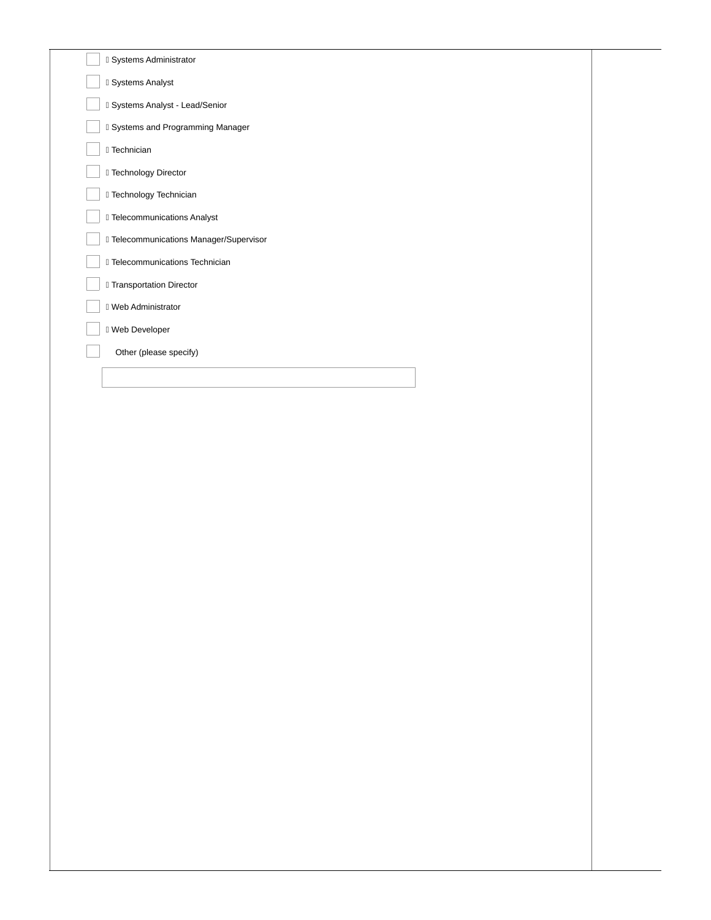| I Systems Administrator                  |
|------------------------------------------|
| <b>Systems Analyst</b>                   |
| <b>I</b> Systems Analyst - Lead/Senior   |
| <b>I</b> Systems and Programming Manager |
| I Technician                             |
| <b>I</b> Technology Director             |
| I Technology Technician                  |
| <b>I</b> Telecommunications Analyst      |
| I Telecommunications Manager/Supervisor  |
| I Telecommunications Technician          |
| <b>I</b> Transportation Director         |
| <b>I</b> Web Administrator               |
| I Web Developer                          |
| Other (please specify)                   |
|                                          |
|                                          |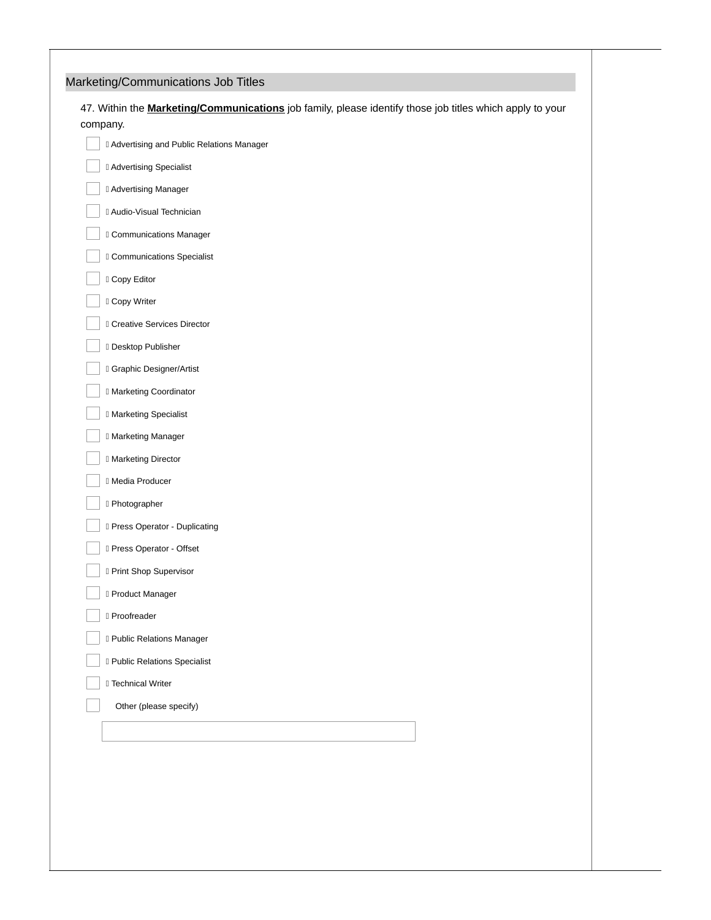| Marketing/Communications Job Titles<br>47. Within the Marketing/Communications job family, please identify those job titles which apply to your<br>company.<br>I Advertising and Public Relations Manager<br>I Advertising Specialist<br>I Advertising Manager<br>I Audio-Visual Technician<br><b>I</b> Communications Manager<br>I Communications Specialist<br>I Copy Editor<br>I Copy Writer<br><b>I</b> Creative Services Director<br>Desktop Publisher<br><b>I</b> Graphic Designer/Artist<br>I Marketing Coordinator<br>I Marketing Specialist |
|------------------------------------------------------------------------------------------------------------------------------------------------------------------------------------------------------------------------------------------------------------------------------------------------------------------------------------------------------------------------------------------------------------------------------------------------------------------------------------------------------------------------------------------------------|
|                                                                                                                                                                                                                                                                                                                                                                                                                                                                                                                                                      |
|                                                                                                                                                                                                                                                                                                                                                                                                                                                                                                                                                      |
|                                                                                                                                                                                                                                                                                                                                                                                                                                                                                                                                                      |
|                                                                                                                                                                                                                                                                                                                                                                                                                                                                                                                                                      |
|                                                                                                                                                                                                                                                                                                                                                                                                                                                                                                                                                      |
|                                                                                                                                                                                                                                                                                                                                                                                                                                                                                                                                                      |
|                                                                                                                                                                                                                                                                                                                                                                                                                                                                                                                                                      |
|                                                                                                                                                                                                                                                                                                                                                                                                                                                                                                                                                      |
|                                                                                                                                                                                                                                                                                                                                                                                                                                                                                                                                                      |
|                                                                                                                                                                                                                                                                                                                                                                                                                                                                                                                                                      |
|                                                                                                                                                                                                                                                                                                                                                                                                                                                                                                                                                      |
|                                                                                                                                                                                                                                                                                                                                                                                                                                                                                                                                                      |
|                                                                                                                                                                                                                                                                                                                                                                                                                                                                                                                                                      |
|                                                                                                                                                                                                                                                                                                                                                                                                                                                                                                                                                      |
|                                                                                                                                                                                                                                                                                                                                                                                                                                                                                                                                                      |
| I Marketing Manager                                                                                                                                                                                                                                                                                                                                                                                                                                                                                                                                  |
| I Marketing Director                                                                                                                                                                                                                                                                                                                                                                                                                                                                                                                                 |
| I Media Producer                                                                                                                                                                                                                                                                                                                                                                                                                                                                                                                                     |
| I Photographer                                                                                                                                                                                                                                                                                                                                                                                                                                                                                                                                       |
| <b>I</b> Press Operator - Duplicating                                                                                                                                                                                                                                                                                                                                                                                                                                                                                                                |
| D Press Operator - Offset                                                                                                                                                                                                                                                                                                                                                                                                                                                                                                                            |
| D Print Shop Supervisor                                                                                                                                                                                                                                                                                                                                                                                                                                                                                                                              |
| <b>I</b> Product Manager                                                                                                                                                                                                                                                                                                                                                                                                                                                                                                                             |
| <b>I</b> Proofreader                                                                                                                                                                                                                                                                                                                                                                                                                                                                                                                                 |
| <b>D</b> Public Relations Manager                                                                                                                                                                                                                                                                                                                                                                                                                                                                                                                    |
| <b>D</b> Public Relations Specialist                                                                                                                                                                                                                                                                                                                                                                                                                                                                                                                 |
| <b>I</b> Technical Writer                                                                                                                                                                                                                                                                                                                                                                                                                                                                                                                            |
| Other (please specify)                                                                                                                                                                                                                                                                                                                                                                                                                                                                                                                               |
|                                                                                                                                                                                                                                                                                                                                                                                                                                                                                                                                                      |
|                                                                                                                                                                                                                                                                                                                                                                                                                                                                                                                                                      |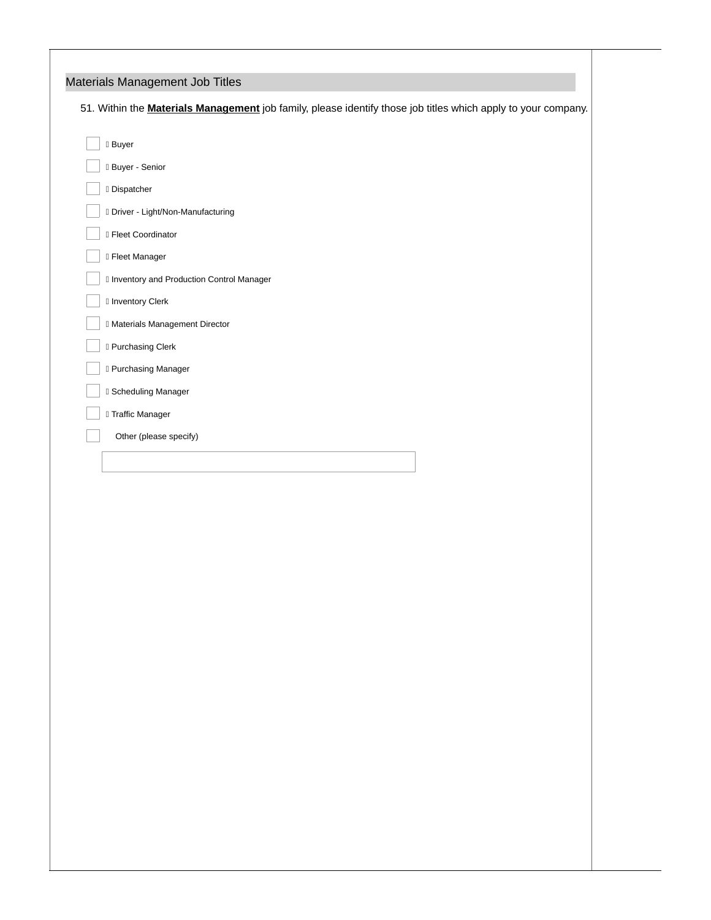| Materials Management Job Titles                                                                                      |
|----------------------------------------------------------------------------------------------------------------------|
| 51. Within the <b>Materials Management</b> job family, please identify those job titles which apply to your company. |
| <b>Buyer</b>                                                                                                         |
| <b>Buyer - Senior</b>                                                                                                |
| Dispatcher                                                                                                           |
| Diver - Light/Non-Manufacturing                                                                                      |
| I Fleet Coordinator                                                                                                  |
| <b>I</b> Fleet Manager                                                                                               |
| I Inventory and Production Control Manager                                                                           |
| I Inventory Clerk                                                                                                    |
| I Materials Management Director                                                                                      |
| D Purchasing Clerk                                                                                                   |
| <b>D</b> Purchasing Manager                                                                                          |
| <b>I</b> Scheduling Manager                                                                                          |
| <b>I</b> Traffic Manager                                                                                             |
| Other (please specify)                                                                                               |
|                                                                                                                      |
|                                                                                                                      |
|                                                                                                                      |
|                                                                                                                      |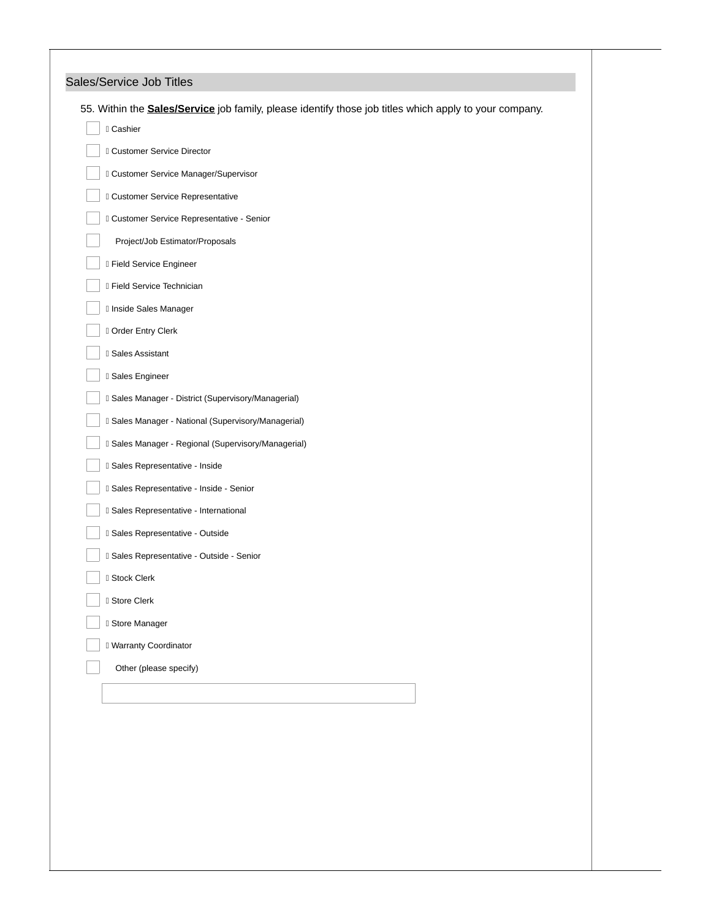| Sales/Service Job Titles                                                                                      |
|---------------------------------------------------------------------------------------------------------------|
| 55. Within the <b>Sales/Service</b> job family, please identify those job titles which apply to your company. |
| I Cashier                                                                                                     |
| I Customer Service Director                                                                                   |
| I Customer Service Manager/Supervisor                                                                         |
| <b>I</b> Customer Service Representative                                                                      |
| I Customer Service Representative - Senior                                                                    |
| Project/Job Estimator/Proposals                                                                               |
| I Field Service Engineer                                                                                      |
| I Field Service Technician                                                                                    |
| Il Inside Sales Manager                                                                                       |
| D Order Entry Clerk                                                                                           |
| <b>I</b> Sales Assistant                                                                                      |
| I Sales Engineer                                                                                              |
| <b>Il Sales Manager - District (Supervisory/Managerial)</b>                                                   |
| I Sales Manager - National (Supervisory/Managerial)                                                           |
| I Sales Manager - Regional (Supervisory/Managerial)                                                           |
| I Sales Representative - Inside                                                                               |
| I Sales Representative - Inside - Senior                                                                      |
| I Sales Representative - International                                                                        |
| I Sales Representative - Outside                                                                              |
| I Sales Representative - Outside - Senior                                                                     |
| I Stock Clerk                                                                                                 |
| <b>I</b> Store Clerk                                                                                          |
| <b>I</b> Store Manager                                                                                        |
| I Warranty Coordinator                                                                                        |
| Other (please specify)                                                                                        |
|                                                                                                               |
|                                                                                                               |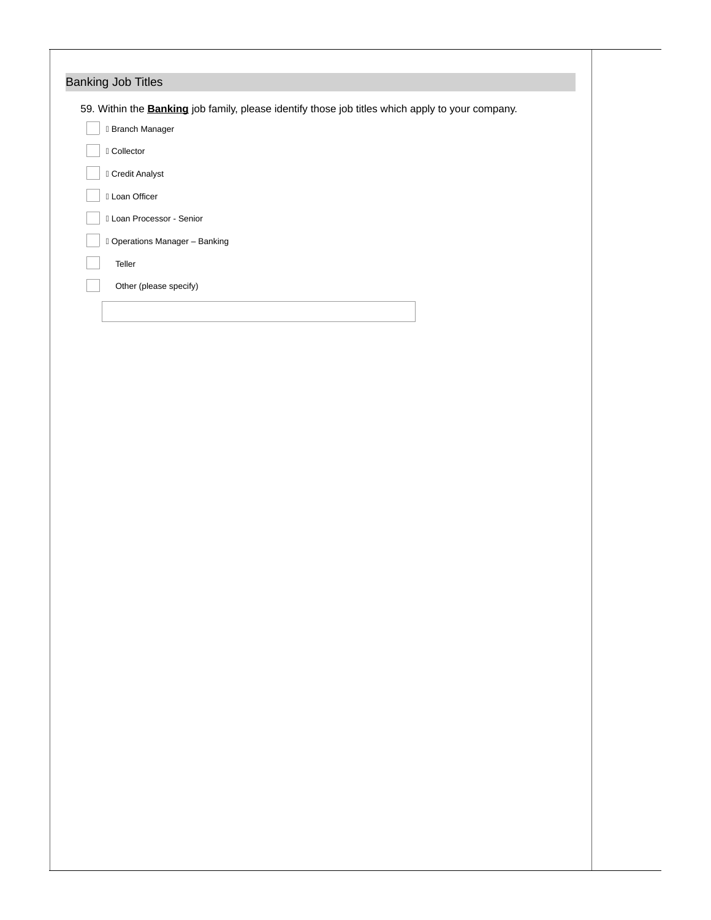| <b>Banking Job Titles</b>                                                                               |
|---------------------------------------------------------------------------------------------------------|
|                                                                                                         |
| 59. Within the <b>Banking</b> job family, please identify those job titles which apply to your company. |
| <b>Branch Manager</b>                                                                                   |
| I Collector                                                                                             |
| <b>I</b> Credit Analyst                                                                                 |
| I Loan Officer                                                                                          |
| I Loan Processor - Senior                                                                               |
| D Operations Manager - Banking                                                                          |
| Teller                                                                                                  |
| Other (please specify)                                                                                  |
|                                                                                                         |
|                                                                                                         |
|                                                                                                         |
|                                                                                                         |
|                                                                                                         |
|                                                                                                         |
|                                                                                                         |
|                                                                                                         |
|                                                                                                         |
|                                                                                                         |
|                                                                                                         |
|                                                                                                         |
|                                                                                                         |
|                                                                                                         |
|                                                                                                         |
|                                                                                                         |
|                                                                                                         |
|                                                                                                         |
|                                                                                                         |
|                                                                                                         |
|                                                                                                         |
|                                                                                                         |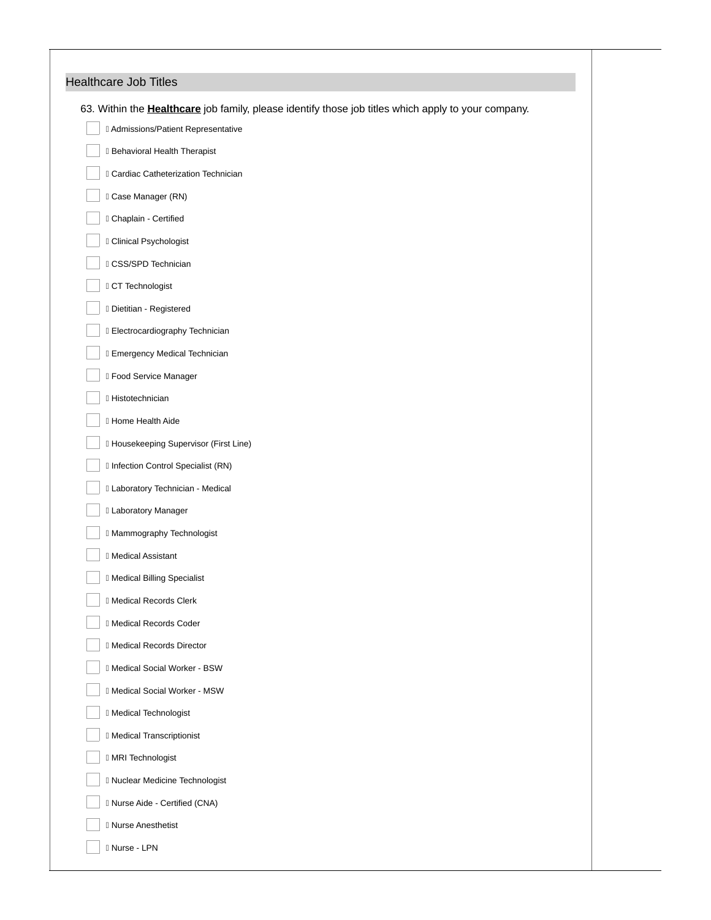| 63. Within the <b>Healthcare</b> job family, please identify those job titles which apply to your company. |
|------------------------------------------------------------------------------------------------------------|
| I Admissions/Patient Representative                                                                        |
| <b>Behavioral Health Therapist</b>                                                                         |
| I Cardiac Catheterization Technician                                                                       |
| D Case Manager (RN)                                                                                        |
| I Chaplain - Certified                                                                                     |
| I Clinical Psychologist                                                                                    |
| I CSS/SPD Technician                                                                                       |
| I CT Technologist                                                                                          |
| Dietitian - Registered                                                                                     |
| I Electrocardiography Technician                                                                           |
| I Emergency Medical Technician                                                                             |
| I Food Service Manager                                                                                     |
| Il Histotechnician                                                                                         |
| I Home Health Aide                                                                                         |
| I Housekeeping Supervisor (First Line)                                                                     |
| Il Infection Control Specialist (RN)                                                                       |
| I Laboratory Technician - Medical                                                                          |
| I Laboratory Manager                                                                                       |
| I Mammography Technologist                                                                                 |
| I Medical Assistant                                                                                        |
| I Medical Billing Specialist                                                                               |
| I Medical Records Clerk                                                                                    |
| I Medical Records Coder                                                                                    |
| I Medical Records Director                                                                                 |
| I Medical Social Worker - BSW                                                                              |
| I Medical Social Worker - MSW                                                                              |
| I Medical Technologist                                                                                     |
| <b>I</b> Medical Transcriptionist                                                                          |
| I MRI Technologist                                                                                         |
| I Nuclear Medicine Technologist                                                                            |
| I Nurse Aide - Certified (CNA)                                                                             |
| Il Nurse Anesthetist                                                                                       |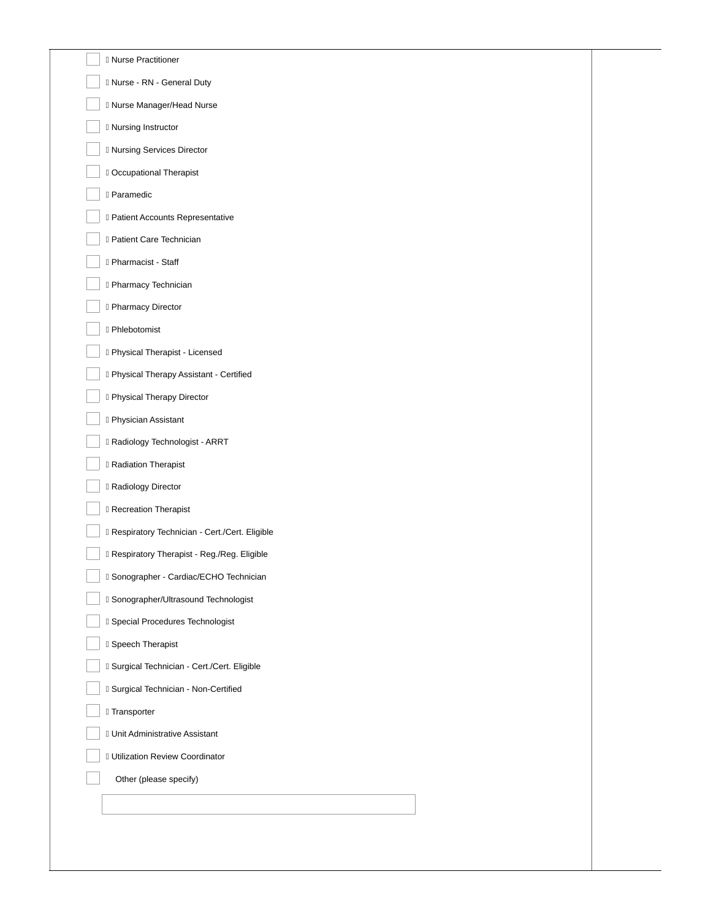| I Nurse Practitioner                                |  |
|-----------------------------------------------------|--|
| I Nurse - RN - General Duty                         |  |
| I Nurse Manager/Head Nurse                          |  |
| I Nursing Instructor                                |  |
| <b>I</b> Nursing Services Director                  |  |
| D Occupational Therapist                            |  |
| D Paramedic                                         |  |
| <b>I</b> Patient Accounts Representative            |  |
| <b>I</b> Patient Care Technician                    |  |
| I Pharmacist - Staff                                |  |
| <b>D</b> Pharmacy Technician                        |  |
| I Pharmacy Director                                 |  |
| I Phlebotomist                                      |  |
| D Physical Therapist - Licensed                     |  |
| <b>I</b> Physical Therapy Assistant - Certified     |  |
| <b>D</b> Physical Therapy Director                  |  |
| <sup>D</sup> Physician Assistant                    |  |
| <b>I</b> Radiology Technologist - ARRT              |  |
| <b>I</b> Radiation Therapist                        |  |
| <b>I</b> Radiology Director                         |  |
| <b>I</b> Recreation Therapist                       |  |
| Il Respiratory Technician - Cert./Cert. Eligible    |  |
| <b>I</b> Respiratory Therapist - Reg./Reg. Eligible |  |
| <b>I</b> Sonographer - Cardiac/ECHO Technician      |  |
| <b>I</b> Sonographer/Ultrasound Technologist        |  |
| <b>I</b> Special Procedures Technologist            |  |
| <b>Speech Therapist</b>                             |  |
| I Surgical Technician - Cert./Cert. Eligible        |  |
| I Surgical Technician - Non-Certified               |  |
| <b>I</b> Transporter                                |  |
| I Unit Administrative Assistant                     |  |
| <b>I</b> Utilization Review Coordinator             |  |
| Other (please specify)                              |  |
|                                                     |  |
|                                                     |  |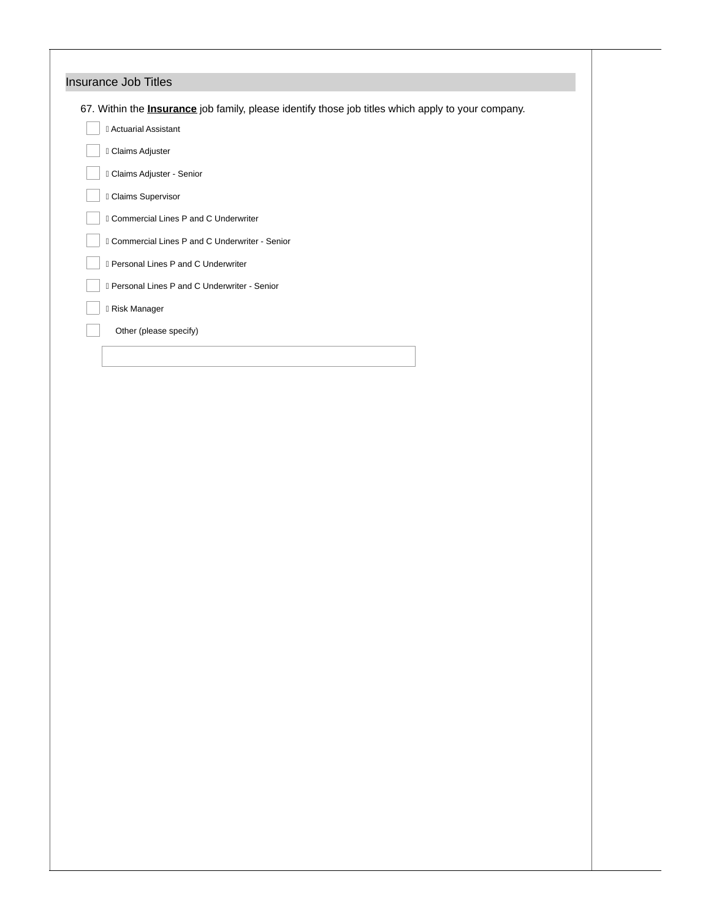| <b>Insurance Job Titles</b>                                                                               |
|-----------------------------------------------------------------------------------------------------------|
| 67. Within the <b>Insurance</b> job family, please identify those job titles which apply to your company. |
| I Actuarial Assistant                                                                                     |
| I Claims Adjuster                                                                                         |
| I Claims Adjuster - Senior                                                                                |
| I Claims Supervisor                                                                                       |
| I Commercial Lines P and C Underwriter                                                                    |
| D Commercial Lines P and C Underwriter - Senior                                                           |
| I Personal Lines P and C Underwriter                                                                      |
| D Personal Lines P and C Underwriter - Senior                                                             |
| <b>I</b> Risk Manager                                                                                     |
| Other (please specify)                                                                                    |
|                                                                                                           |
|                                                                                                           |
|                                                                                                           |
|                                                                                                           |
|                                                                                                           |
|                                                                                                           |
|                                                                                                           |
|                                                                                                           |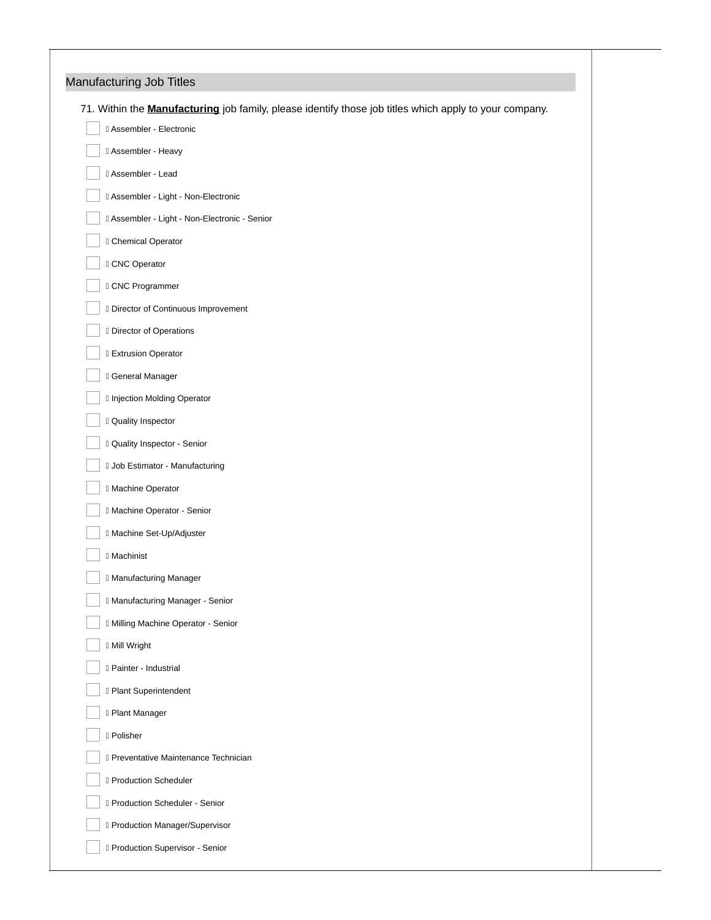| <b>Manufacturing Job Titles</b>                                                                               |
|---------------------------------------------------------------------------------------------------------------|
|                                                                                                               |
| 71. Within the <b>Manufacturing</b> job family, please identify those job titles which apply to your company. |
| I Assembler - Electronic                                                                                      |
| I Assembler - Heavy<br>I Assembler - Lead                                                                     |
|                                                                                                               |
| I Assembler - Light - Non-Electronic                                                                          |
| I Assembler - Light - Non-Electronic - Senior                                                                 |
| I Chemical Operator                                                                                           |
| I CNC Operator                                                                                                |
| I CNC Programmer                                                                                              |
| <b>I</b> Director of Continuous Improvement<br>Director of Operations                                         |
| <b>I</b> Extrusion Operator                                                                                   |
| I General Manager                                                                                             |
| I Injection Molding Operator                                                                                  |
| I Quality Inspector                                                                                           |
| I Quality Inspector - Senior                                                                                  |
| I Job Estimator - Manufacturing                                                                               |
| I Machine Operator                                                                                            |
| I Machine Operator - Senior                                                                                   |
| I Machine Set-Up/Adjuster                                                                                     |
| I Machinist                                                                                                   |
| I Manufacturing Manager                                                                                       |
| I Manufacturing Manager - Senior                                                                              |
| I Milling Machine Operator - Senior                                                                           |
| <b>I</b> Mill Wright                                                                                          |
| D Painter - Industrial                                                                                        |
| D Plant Superintendent                                                                                        |
| D Plant Manager                                                                                               |
| D Polisher                                                                                                    |
| <b>I</b> Preventative Maintenance Technician                                                                  |
| <b>I</b> Production Scheduler                                                                                 |
| I Production Scheduler - Senior                                                                               |
| <b>I</b> Production Manager/Supervisor                                                                        |
| D Production Supervisor - Senior                                                                              |
|                                                                                                               |

 $\mathbb{L}$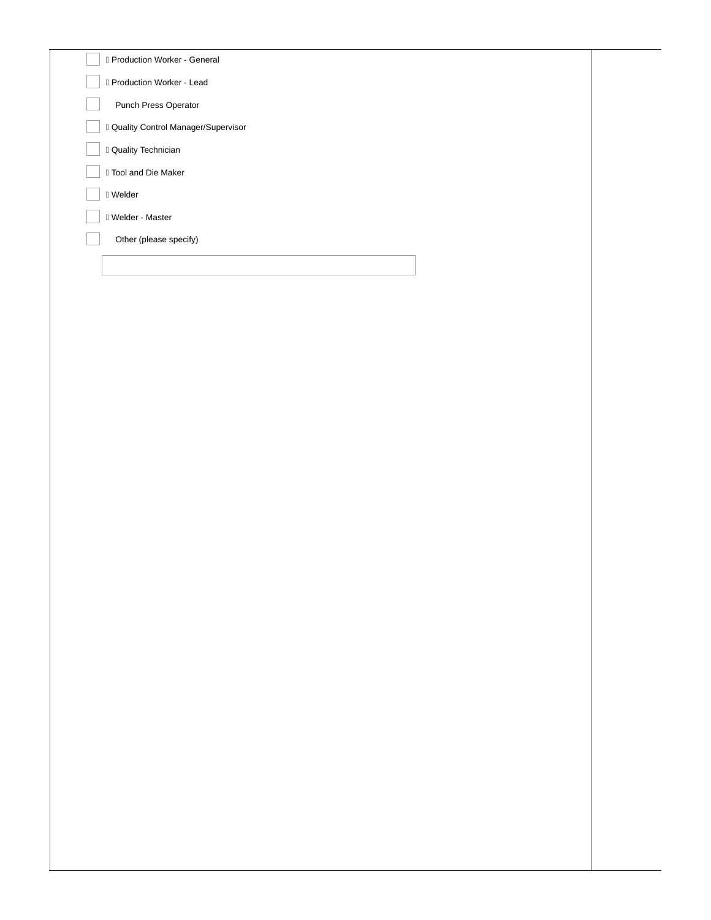| D Production Worker - General        |
|--------------------------------------|
| <b>I</b> Production Worker - Lead    |
| Punch Press Operator                 |
| I Quality Control Manager/Supervisor |
| <sup>1</sup> Quality Technician      |
| <b>I</b> Tool and Die Maker          |
| I Welder                             |
| I Welder - Master                    |
| Other (please specify)               |
|                                      |
|                                      |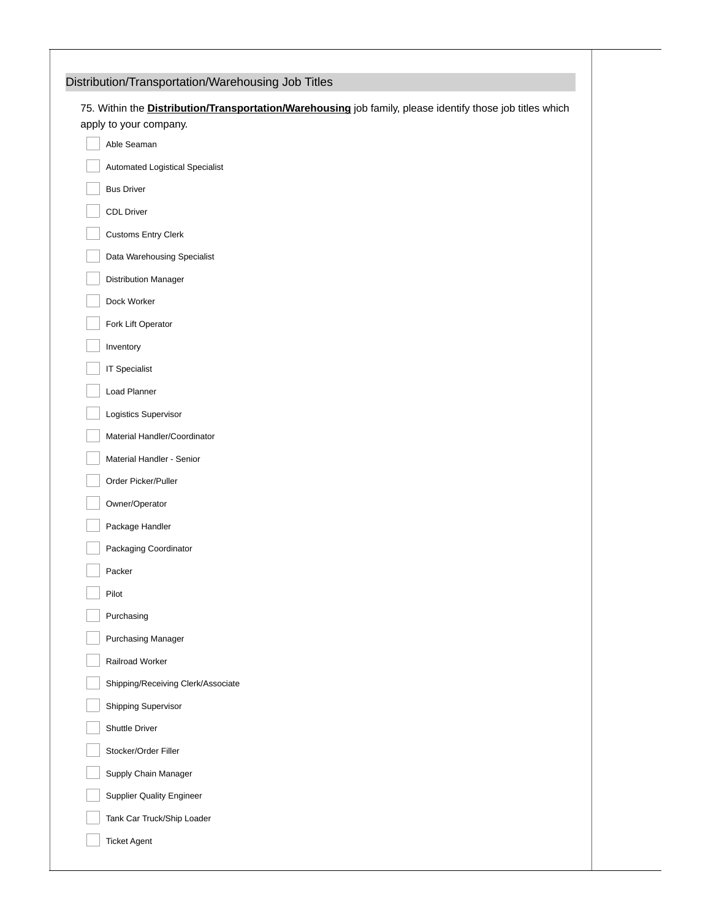| Distribution/Transportation/Warehousing Job Titles |                                                                                                                  |
|----------------------------------------------------|------------------------------------------------------------------------------------------------------------------|
|                                                    | 75. Within the <b>Distribution/Transportation/Warehousing</b> job family, please identify those job titles which |
| apply to your company.                             |                                                                                                                  |
| Able Seaman                                        |                                                                                                                  |
| Automated Logistical Specialist                    |                                                                                                                  |
| <b>Bus Driver</b>                                  |                                                                                                                  |
| <b>CDL Driver</b>                                  |                                                                                                                  |
| Customs Entry Clerk                                |                                                                                                                  |
| Data Warehousing Specialist                        |                                                                                                                  |
| <b>Distribution Manager</b>                        |                                                                                                                  |
| Dock Worker                                        |                                                                                                                  |
| Fork Lift Operator                                 |                                                                                                                  |
| Inventory                                          |                                                                                                                  |
| <b>IT Specialist</b>                               |                                                                                                                  |
| Load Planner                                       |                                                                                                                  |
| Logistics Supervisor                               |                                                                                                                  |
| Material Handler/Coordinator                       |                                                                                                                  |
| Material Handler - Senior                          |                                                                                                                  |
| Order Picker/Puller                                |                                                                                                                  |
| Owner/Operator                                     |                                                                                                                  |
| Package Handler                                    |                                                                                                                  |
| Packaging Coordinator                              |                                                                                                                  |
| Packer                                             |                                                                                                                  |
| Pilot                                              |                                                                                                                  |
| Purchasing                                         |                                                                                                                  |
| Purchasing Manager                                 |                                                                                                                  |
| Railroad Worker                                    |                                                                                                                  |
| Shipping/Receiving Clerk/Associate                 |                                                                                                                  |
| Shipping Supervisor                                |                                                                                                                  |
| Shuttle Driver                                     |                                                                                                                  |
| Stocker/Order Filler                               |                                                                                                                  |
| Supply Chain Manager                               |                                                                                                                  |
| <b>Supplier Quality Engineer</b>                   |                                                                                                                  |
| Tank Car Truck/Ship Loader                         |                                                                                                                  |
| <b>Ticket Agent</b>                                |                                                                                                                  |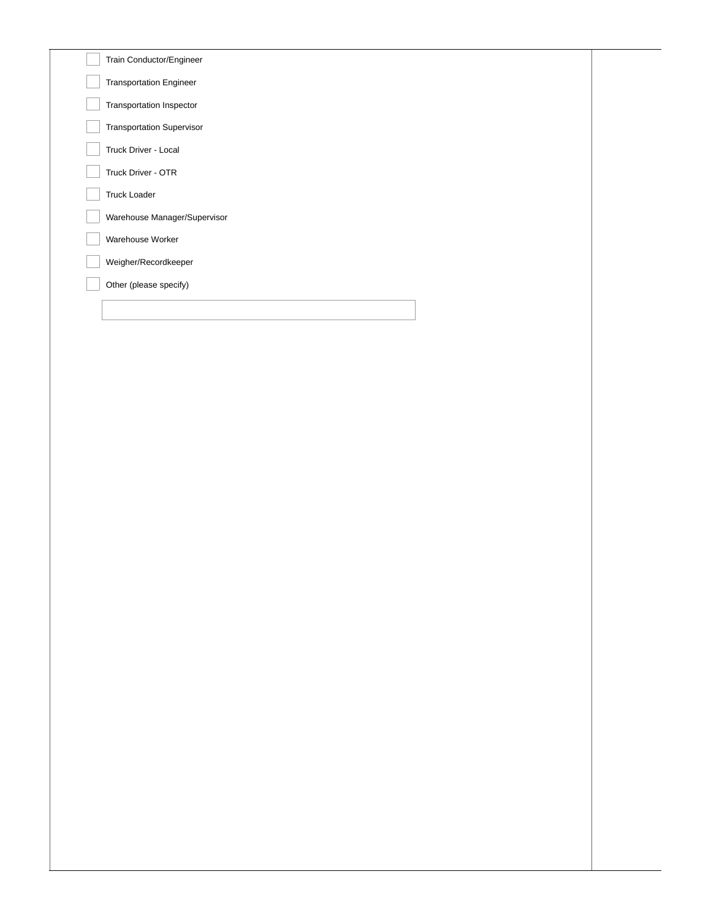| Train Conductor/Engineer         |
|----------------------------------|
| <b>Transportation Engineer</b>   |
| Transportation Inspector         |
| <b>Transportation Supervisor</b> |
| <b>Truck Driver - Local</b>      |
| Truck Driver - OTR               |
| <b>Truck Loader</b>              |
| Warehouse Manager/Supervisor     |
| Warehouse Worker                 |
| Weigher/Recordkeeper             |
| Other (please specify)           |
|                                  |
|                                  |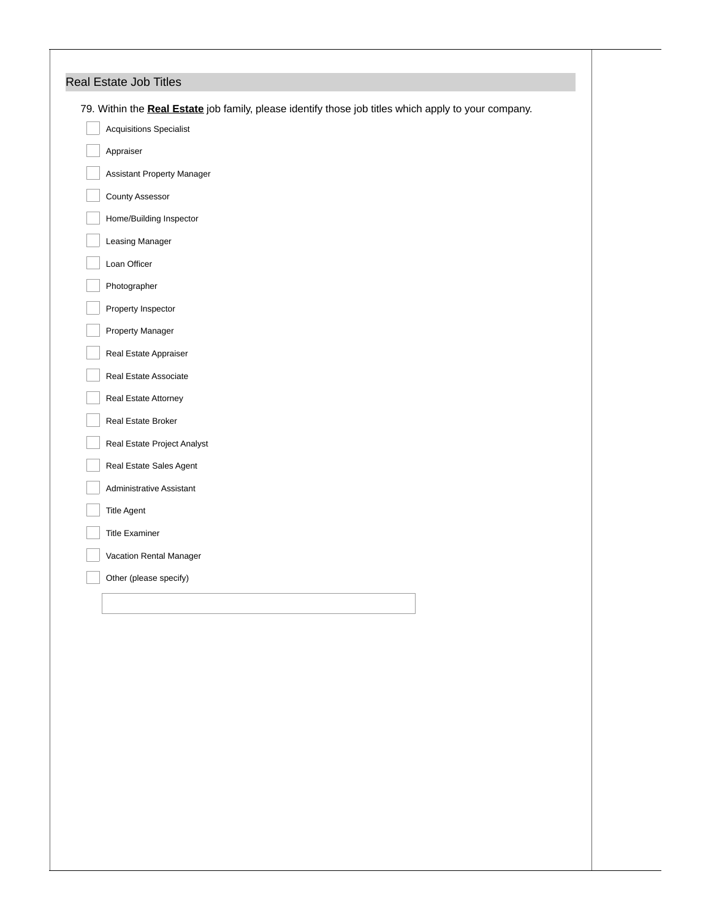| Real Estate Job Titles                                                                               |
|------------------------------------------------------------------------------------------------------|
| 79. Within the Real Estate job family, please identify those job titles which apply to your company. |
| <b>Acquisitions Specialist</b>                                                                       |
| Appraiser                                                                                            |
| Assistant Property Manager                                                                           |
| County Assessor                                                                                      |
| Home/Building Inspector                                                                              |
| Leasing Manager                                                                                      |
| Loan Officer                                                                                         |
| Photographer                                                                                         |
| Property Inspector                                                                                   |
| Property Manager                                                                                     |
| Real Estate Appraiser                                                                                |
| Real Estate Associate                                                                                |
| Real Estate Attorney                                                                                 |
| Real Estate Broker                                                                                   |
| Real Estate Project Analyst                                                                          |
| Real Estate Sales Agent                                                                              |
| Administrative Assistant                                                                             |
| <b>Title Agent</b>                                                                                   |
| <b>Title Examiner</b>                                                                                |
| Vacation Rental Manager                                                                              |
| Other (please specify)                                                                               |
|                                                                                                      |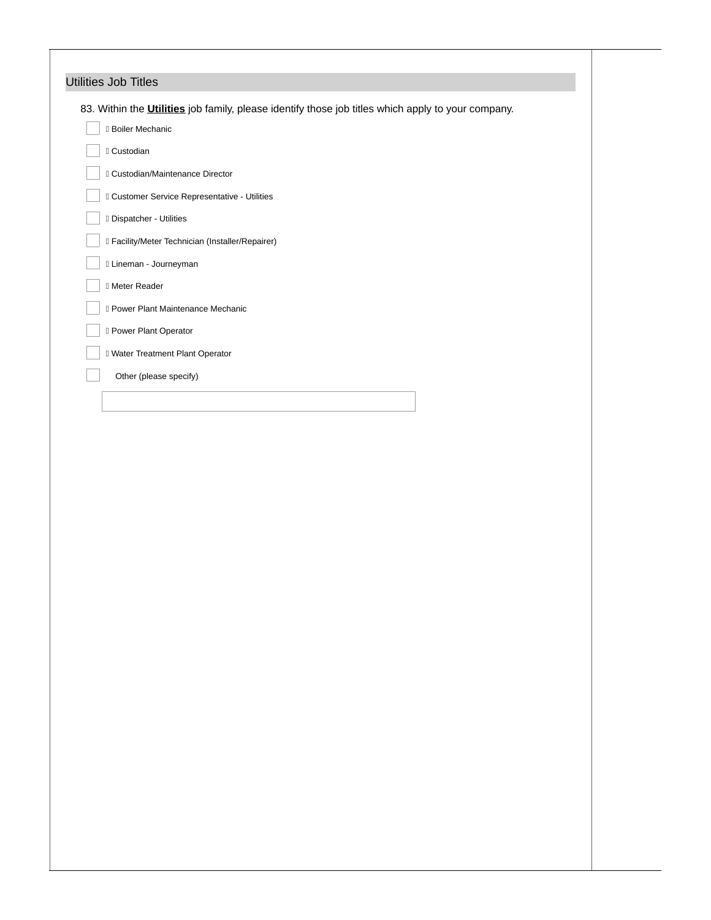| Utilities Job Titles                                                                                      |  |  |  |
|-----------------------------------------------------------------------------------------------------------|--|--|--|
| 83. Within the <i>Utilities</i> job family, please identify those job titles which apply to your company. |  |  |  |
| <b>Boiler Mechanic</b>                                                                                    |  |  |  |
| I Custodian                                                                                               |  |  |  |
| I Custodian/Maintenance Director                                                                          |  |  |  |
| <b>I</b> Customer Service Representative - Utilities                                                      |  |  |  |
| Dispatcher - Utilities                                                                                    |  |  |  |
| <b>I</b> Facility/Meter Technician (Installer/Repairer)                                                   |  |  |  |
| I Lineman - Journeyman                                                                                    |  |  |  |
| I Meter Reader                                                                                            |  |  |  |
| <b>I</b> Power Plant Maintenance Mechanic                                                                 |  |  |  |
| <b>I</b> Power Plant Operator                                                                             |  |  |  |
| I Water Treatment Plant Operator                                                                          |  |  |  |
| Other (please specify)                                                                                    |  |  |  |
|                                                                                                           |  |  |  |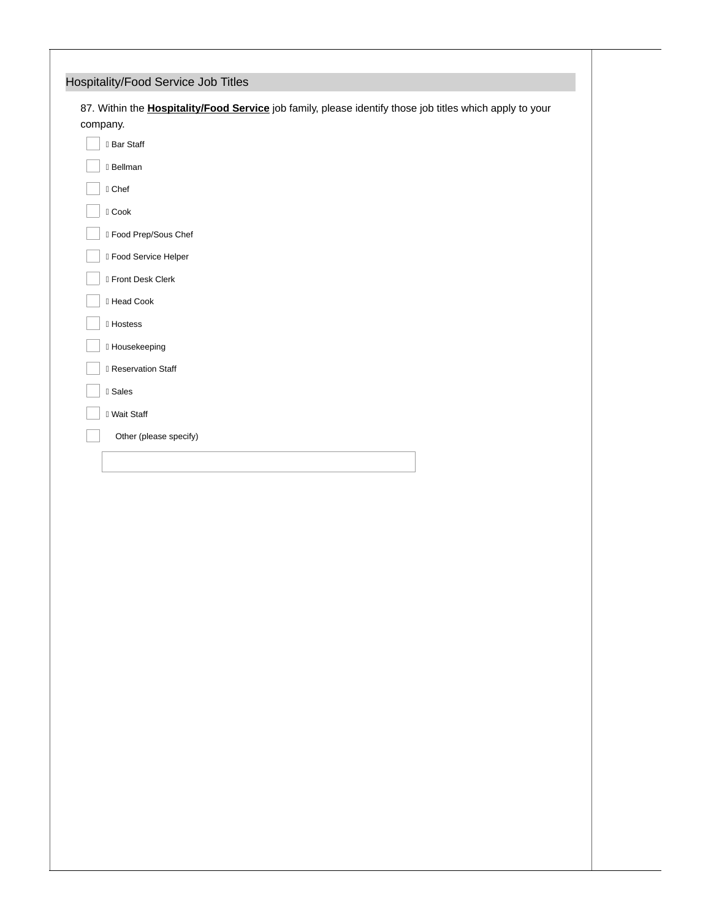| 87. Within the Hospitality/Food Service job family, please identify those job titles which apply to your |
|----------------------------------------------------------------------------------------------------------|
| company.<br><b>Bar Staff</b>                                                                             |
| I Bellman                                                                                                |
| $\mathbb I$ Chef                                                                                         |
| $\mathbb I$ Cook                                                                                         |
| I Food Prep/Sous Chef                                                                                    |
| I Food Service Helper                                                                                    |
| I Front Desk Clerk                                                                                       |
| I Head Cook                                                                                              |
| Il Hostess                                                                                               |
| I Housekeeping                                                                                           |
| <b>I</b> Reservation Staff                                                                               |
| <b>Sales</b>                                                                                             |
| I Wait Staff                                                                                             |
| Other (please specify)                                                                                   |
|                                                                                                          |
|                                                                                                          |
|                                                                                                          |
|                                                                                                          |
|                                                                                                          |
|                                                                                                          |
|                                                                                                          |
|                                                                                                          |
|                                                                                                          |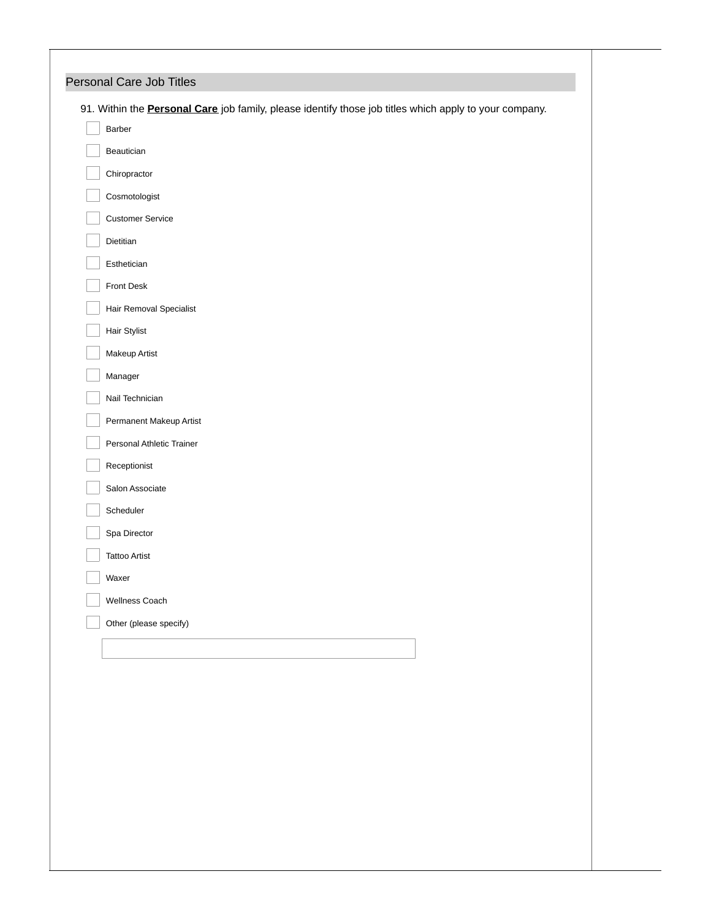| Personal Care Job Titles                                                                                      |
|---------------------------------------------------------------------------------------------------------------|
| 91. Within the <b>Personal Care</b> job family, please identify those job titles which apply to your company. |
| Barber                                                                                                        |
| Beautician                                                                                                    |
| Chiropractor                                                                                                  |
| Cosmotologist                                                                                                 |
| <b>Customer Service</b>                                                                                       |
| Dietitian                                                                                                     |
| Esthetician                                                                                                   |
| Front Desk                                                                                                    |
| Hair Removal Specialist                                                                                       |
| Hair Stylist                                                                                                  |
| Makeup Artist                                                                                                 |
| Manager                                                                                                       |
| Nail Technician                                                                                               |
| Permanent Makeup Artist                                                                                       |
| Personal Athletic Trainer                                                                                     |
| Receptionist                                                                                                  |
| Salon Associate                                                                                               |
| Scheduler                                                                                                     |
| Spa Director                                                                                                  |
| <b>Tattoo Artist</b>                                                                                          |
| Waxer                                                                                                         |
| Wellness Coach                                                                                                |
| Other (please specify)                                                                                        |
|                                                                                                               |
|                                                                                                               |
|                                                                                                               |
|                                                                                                               |
|                                                                                                               |
|                                                                                                               |
|                                                                                                               |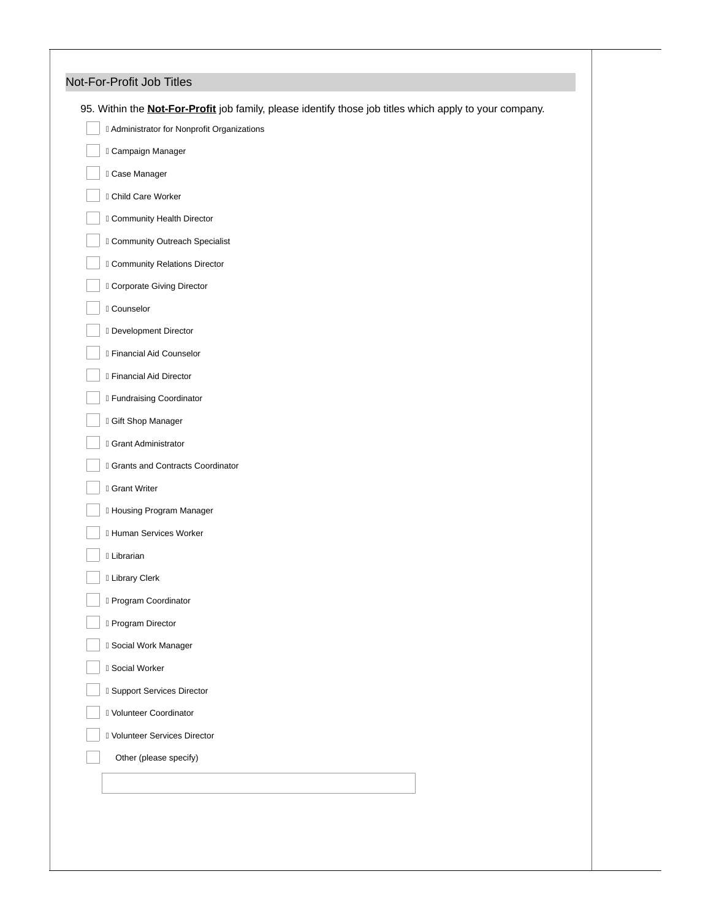| 95. Within the <b>Not-For-Profit</b> job family, please identify those job titles which apply to your company. |                                                    |  |
|----------------------------------------------------------------------------------------------------------------|----------------------------------------------------|--|
|                                                                                                                | <b>I</b> Administrator for Nonprofit Organizations |  |
|                                                                                                                | I Campaign Manager                                 |  |
|                                                                                                                | I Case Manager                                     |  |
|                                                                                                                | I Child Care Worker                                |  |
|                                                                                                                | <b>I</b> Community Health Director                 |  |
|                                                                                                                | <b>I</b> Community Outreach Specialist             |  |
|                                                                                                                | <b>I</b> Community Relations Director              |  |
|                                                                                                                | <b>I</b> Corporate Giving Director                 |  |
|                                                                                                                | I Counselor                                        |  |
|                                                                                                                | Development Director                               |  |
|                                                                                                                | <b>I</b> Financial Aid Counselor                   |  |
|                                                                                                                | <b>I</b> Financial Aid Director                    |  |
|                                                                                                                | <b>I</b> Fundraising Coordinator                   |  |
|                                                                                                                | <b>I</b> Gift Shop Manager                         |  |
|                                                                                                                | <b>I</b> Grant Administrator                       |  |
|                                                                                                                | <b>I</b> Grants and Contracts Coordinator          |  |
|                                                                                                                | <b>I</b> Grant Writer                              |  |
|                                                                                                                | I Housing Program Manager                          |  |
|                                                                                                                | I Human Services Worker                            |  |
|                                                                                                                | I Librarian                                        |  |
|                                                                                                                | I Library Clerk                                    |  |
|                                                                                                                | I Program Coordinator                              |  |
|                                                                                                                | I Program Director                                 |  |
|                                                                                                                | <b>I</b> Social Work Manager                       |  |
|                                                                                                                | <b>I</b> Social Worker                             |  |
|                                                                                                                | <b>I</b> Support Services Director                 |  |
|                                                                                                                | I Volunteer Coordinator                            |  |
|                                                                                                                | I Volunteer Services Director                      |  |
|                                                                                                                | Other (please specify)                             |  |
|                                                                                                                |                                                    |  |

 $\overline{\phantom{a}}$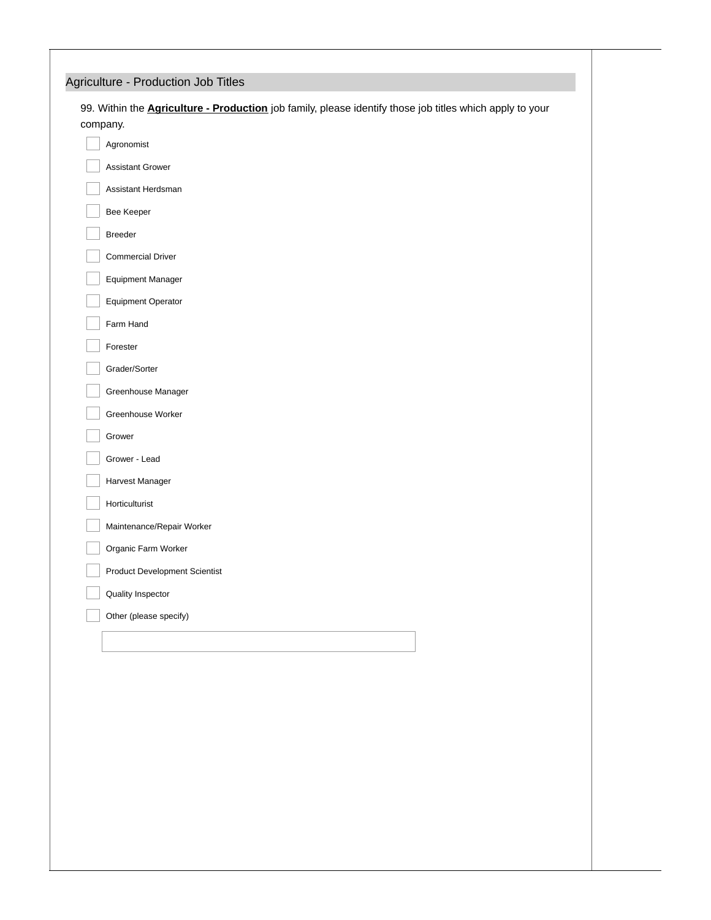| Agriculture - Production Job Titles                                                                             |
|-----------------------------------------------------------------------------------------------------------------|
| 99. Within the <b>Agriculture - Production</b> job family, please identify those job titles which apply to your |
| company.                                                                                                        |
| Agronomist                                                                                                      |
| <b>Assistant Grower</b>                                                                                         |
| Assistant Herdsman                                                                                              |
| Bee Keeper                                                                                                      |
| Breeder                                                                                                         |
| <b>Commercial Driver</b>                                                                                        |
| Equipment Manager                                                                                               |
| Equipment Operator                                                                                              |
| Farm Hand                                                                                                       |
| Forester                                                                                                        |
| Grader/Sorter                                                                                                   |
| Greenhouse Manager                                                                                              |
| Greenhouse Worker                                                                                               |
| Grower                                                                                                          |
| Grower - Lead                                                                                                   |
| Harvest Manager                                                                                                 |
| Horticulturist                                                                                                  |
| Maintenance/Repair Worker                                                                                       |
| Organic Farm Worker                                                                                             |
| <b>Product Development Scientist</b>                                                                            |
| Quality Inspector                                                                                               |
| Other (please specify)                                                                                          |
|                                                                                                                 |
|                                                                                                                 |
|                                                                                                                 |
|                                                                                                                 |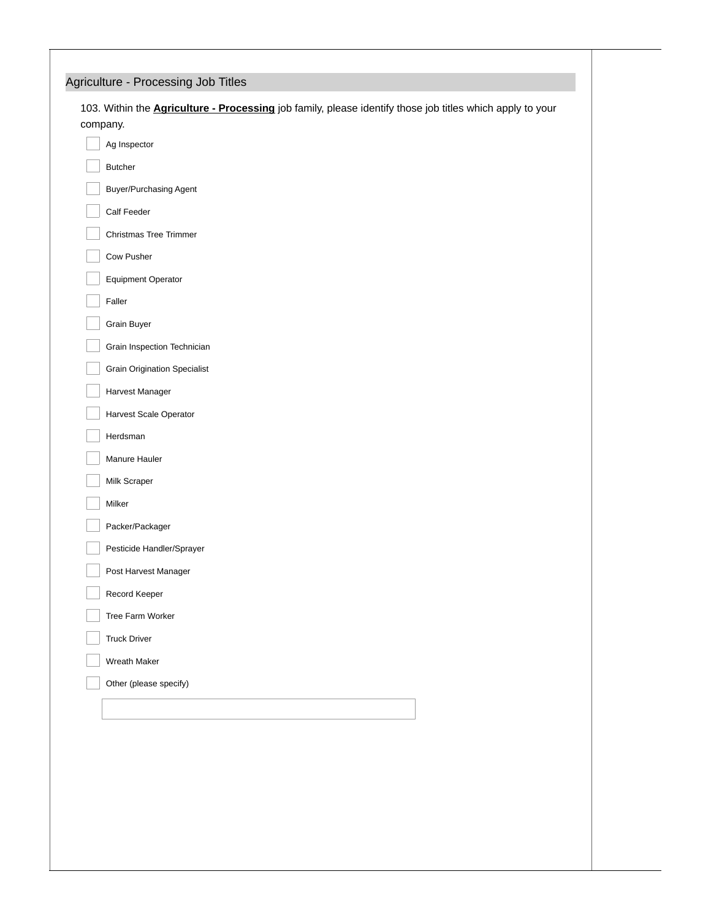| Agriculture - Processing Job Titles                                                                              |
|------------------------------------------------------------------------------------------------------------------|
| 103. Within the <b>Agriculture - Processing</b> job family, please identify those job titles which apply to your |
| company.                                                                                                         |
| Ag Inspector                                                                                                     |
| Butcher                                                                                                          |
| <b>Buyer/Purchasing Agent</b>                                                                                    |
| Calf Feeder                                                                                                      |
| Christmas Tree Trimmer                                                                                           |
| Cow Pusher                                                                                                       |
| Equipment Operator                                                                                               |
| Faller                                                                                                           |
| Grain Buyer                                                                                                      |
| Grain Inspection Technician                                                                                      |
| <b>Grain Origination Specialist</b>                                                                              |
| Harvest Manager                                                                                                  |
| Harvest Scale Operator                                                                                           |
| Herdsman                                                                                                         |
| Manure Hauler                                                                                                    |
| Milk Scraper                                                                                                     |
| Milker                                                                                                           |
| Packer/Packager                                                                                                  |
| Pesticide Handler/Sprayer                                                                                        |
| Post Harvest Manager                                                                                             |
| Record Keeper                                                                                                    |
| Tree Farm Worker                                                                                                 |
| <b>Truck Driver</b>                                                                                              |
| Wreath Maker                                                                                                     |
| Other (please specify)                                                                                           |
|                                                                                                                  |
|                                                                                                                  |
|                                                                                                                  |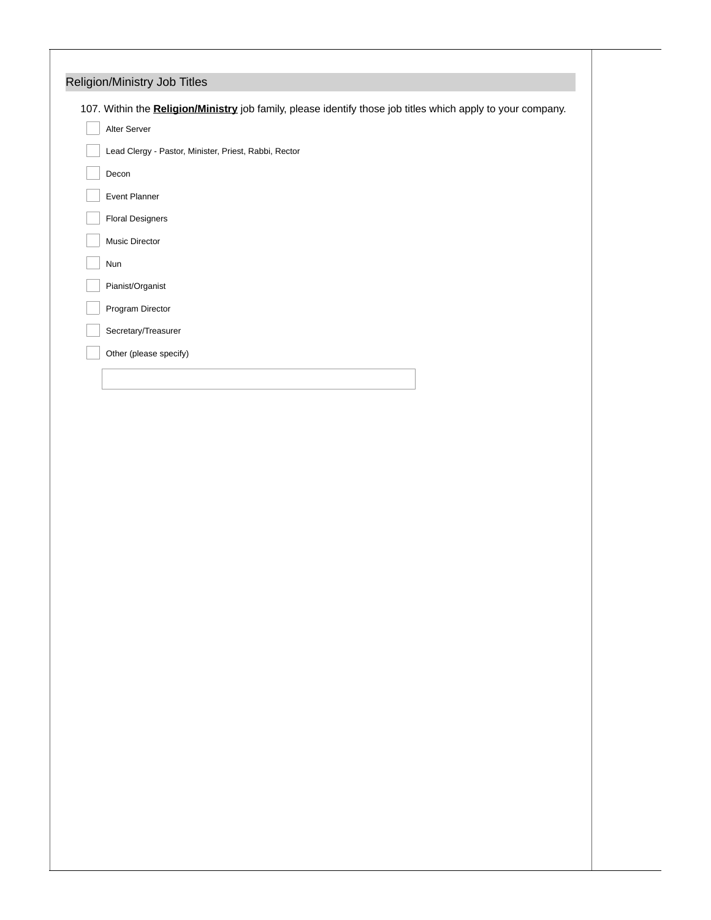| Religion/Ministry Job Titles                                                                                       |  |  |  |
|--------------------------------------------------------------------------------------------------------------------|--|--|--|
| 107. Within the <b>Religion/Ministry</b> job family, please identify those job titles which apply to your company. |  |  |  |
| Alter Server                                                                                                       |  |  |  |
| Lead Clergy - Pastor, Minister, Priest, Rabbi, Rector                                                              |  |  |  |
| Decon                                                                                                              |  |  |  |
| Event Planner                                                                                                      |  |  |  |
| <b>Floral Designers</b>                                                                                            |  |  |  |
| <b>Music Director</b>                                                                                              |  |  |  |
| Nun                                                                                                                |  |  |  |
| Pianist/Organist                                                                                                   |  |  |  |
| Program Director                                                                                                   |  |  |  |
| Secretary/Treasurer                                                                                                |  |  |  |
| Other (please specify)                                                                                             |  |  |  |
|                                                                                                                    |  |  |  |
|                                                                                                                    |  |  |  |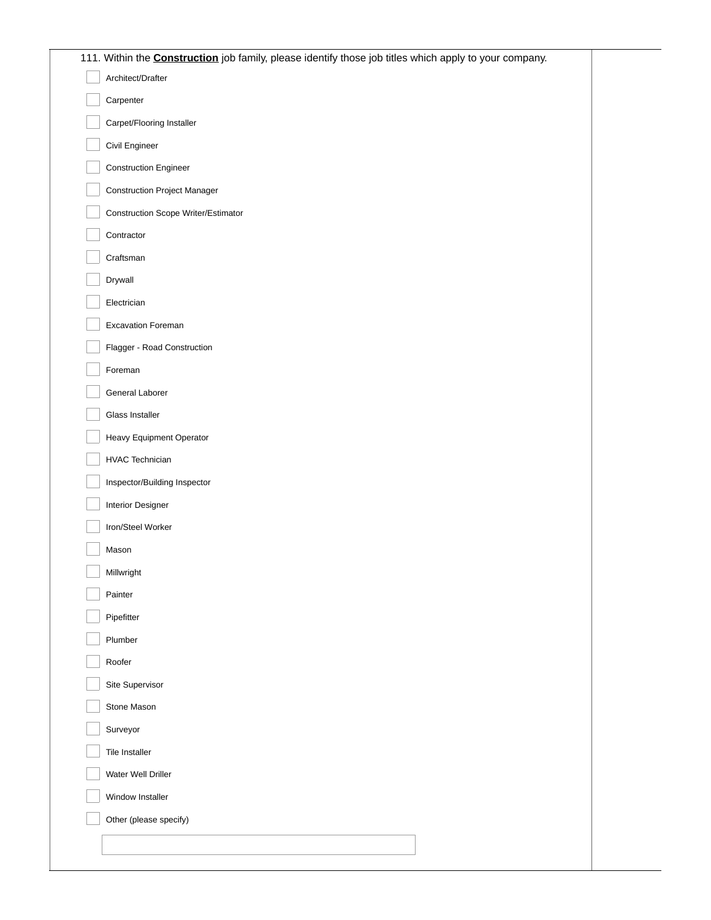|   | Architect/Drafter                          |
|---|--------------------------------------------|
|   | Carpenter                                  |
|   | Carpet/Flooring Installer                  |
|   | Civil Engineer                             |
|   | <b>Construction Engineer</b>               |
|   | <b>Construction Project Manager</b>        |
|   | <b>Construction Scope Writer/Estimator</b> |
|   | Contractor                                 |
|   | Craftsman                                  |
|   | Drywall                                    |
|   | Electrician                                |
|   | <b>Excavation Foreman</b>                  |
|   | Flagger - Road Construction                |
|   | Foreman                                    |
|   | General Laborer                            |
|   | Glass Installer                            |
|   | Heavy Equipment Operator                   |
|   | <b>HVAC Technician</b>                     |
|   | Inspector/Building Inspector               |
|   | Interior Designer                          |
|   | Iron/Steel Worker                          |
|   | Mason                                      |
| L | $\Box$ Millwright                          |
|   | Painter                                    |
|   | Pipefitter                                 |
|   | Plumber                                    |
|   | Roofer                                     |
|   | Site Supervisor                            |
|   | Stone Mason                                |
|   | Surveyor                                   |
|   | Tile Installer                             |
|   | Water Well Driller                         |
|   | Window Installer                           |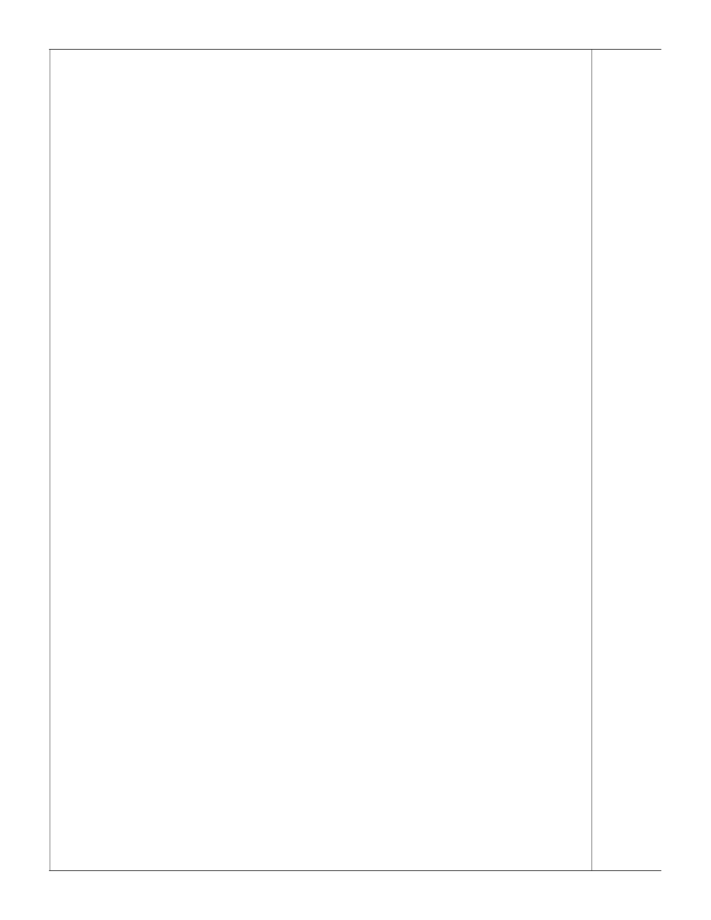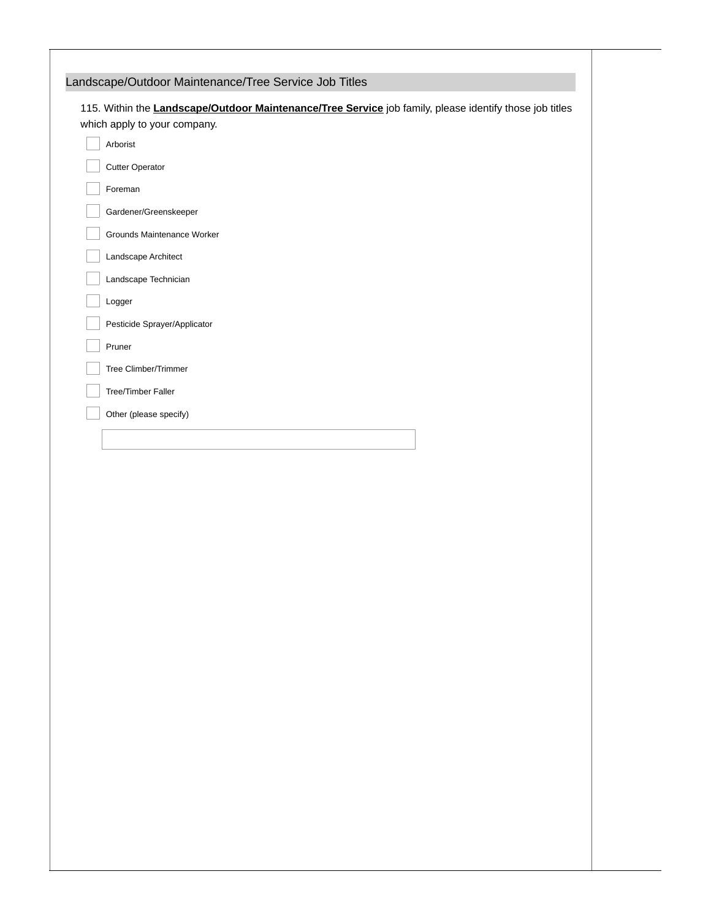| Landscape/Outdoor Maintenance/Tree Service Job Titles                                                   |
|---------------------------------------------------------------------------------------------------------|
| 115. Within the Landscape/Outdoor Maintenance/Tree Service job family, please identify those job titles |
| which apply to your company.                                                                            |
| Arborist                                                                                                |
| <b>Cutter Operator</b>                                                                                  |
| Foreman                                                                                                 |
| Gardener/Greenskeeper                                                                                   |
| Grounds Maintenance Worker                                                                              |
| Landscape Architect                                                                                     |
| Landscape Technician                                                                                    |
| Logger                                                                                                  |
| Pesticide Sprayer/Applicator                                                                            |
| Pruner                                                                                                  |
| Tree Climber/Trimmer                                                                                    |
| <b>Tree/Timber Faller</b>                                                                               |
| Other (please specify)                                                                                  |
|                                                                                                         |
|                                                                                                         |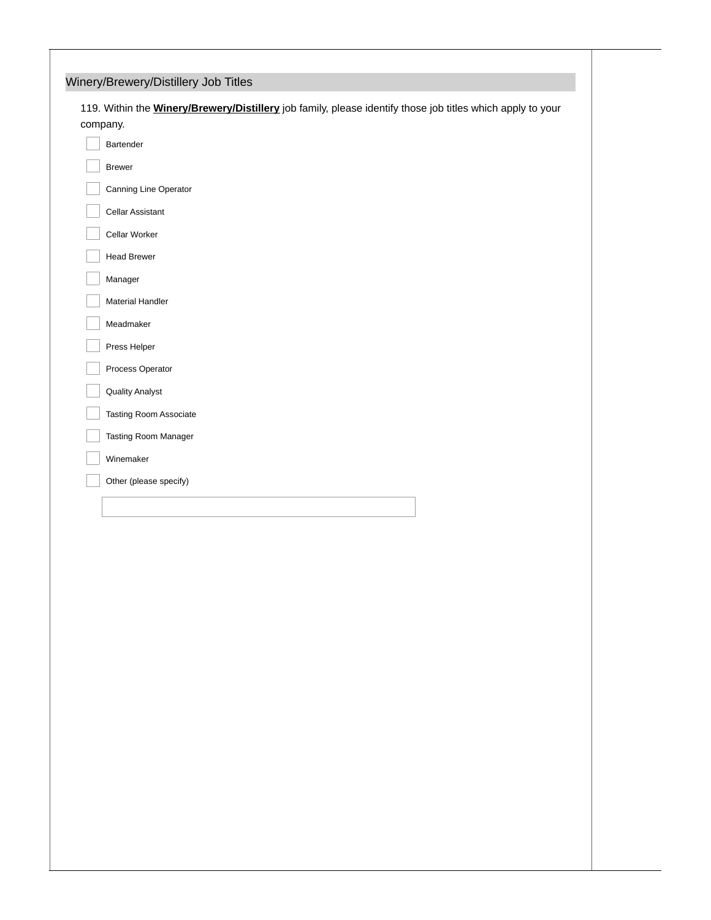| Winery/Brewery/Distillery Job Titles                                                                              |  |
|-------------------------------------------------------------------------------------------------------------------|--|
| 119. Within the <b>Winery/Brewery/Distillery</b> job family, please identify those job titles which apply to your |  |
| company.                                                                                                          |  |
| Bartender                                                                                                         |  |
| <b>Brewer</b>                                                                                                     |  |
| Canning Line Operator                                                                                             |  |
| Cellar Assistant                                                                                                  |  |
| Cellar Worker                                                                                                     |  |
| <b>Head Brewer</b>                                                                                                |  |
| Manager                                                                                                           |  |
| Material Handler                                                                                                  |  |
| Meadmaker                                                                                                         |  |
| Press Helper                                                                                                      |  |
| Process Operator                                                                                                  |  |
| <b>Quality Analyst</b>                                                                                            |  |
| Tasting Room Associate                                                                                            |  |
| Tasting Room Manager                                                                                              |  |
| Winemaker                                                                                                         |  |
| Other (please specify)                                                                                            |  |
|                                                                                                                   |  |
|                                                                                                                   |  |
|                                                                                                                   |  |